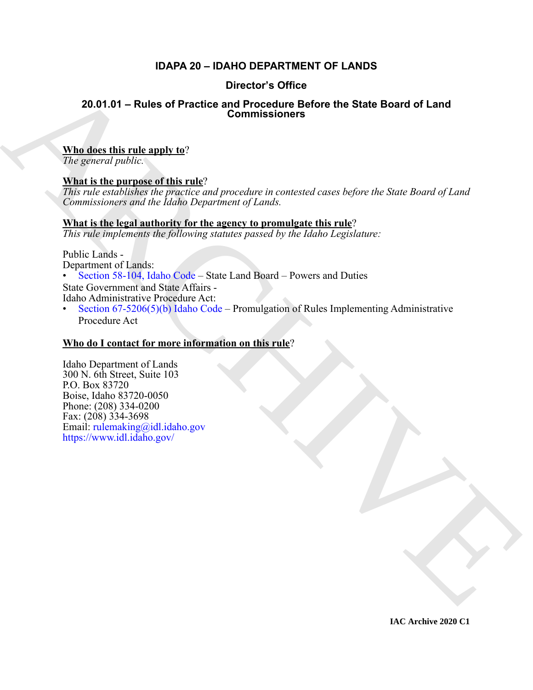# **IDAPA 20 – IDAHO DEPARTMENT OF LANDS**

# **Director's Office**

# **20.01.01 – Rules of Practice and Procedure Before the State Board of Land Commissioners**

# **Who does this rule apply to**?

*The general public.*

# **What is the purpose of this rule**?

*This rule establishes the practice and procedure in contested cases before the State Board of Land Commissioners and the Idaho Department of Lands.*

# **What is the legal authority for the agency to promulgate this rule**?

*This rule implements the following statutes passed by the Idaho Legislature:*

Public Lands -

Department of Lands:

• Section 58-104, Idaho Code – State Land Board – Powers and Duties

State Government and State Affairs -

Idaho Administrative Procedure Act:

Section  $67-5206(5)(b)$  Idaho Code – Promulgation of Rules Implementing Administrative Procedure Act

# **Who do I contact for more information on this rule**?

**20.01.01 – [R](https://legislature.idaho.gov/statutesrules/idstat/Title58/T58CH1/SECT58-104/)ules of Practice and Procedure Before the State Board of Land<br>
Mindsheet this rule angly to?**<br>
What is the numeron of this rule?<br>
What is the numeron of this rule?<br>
AR[C](https://legislature.idaho.gov/statutesrules/idstat/Title67/T67CH52/SECT67-5206/)[HIV](mailto:rulemaking@idl.idaho.gov)E and procedure is consisted once bef Idaho Department of Lands 300 N. 6th Street, Suite 103 P.O. Box 83720 Boise, Idaho 83720-0050 Phone: (208) 334-0200 Fax: (208) 334-3698 Email: rulemaking@idl.idaho.gov https://www.idl.idaho.gov/

**IAC Archive 2020 C1**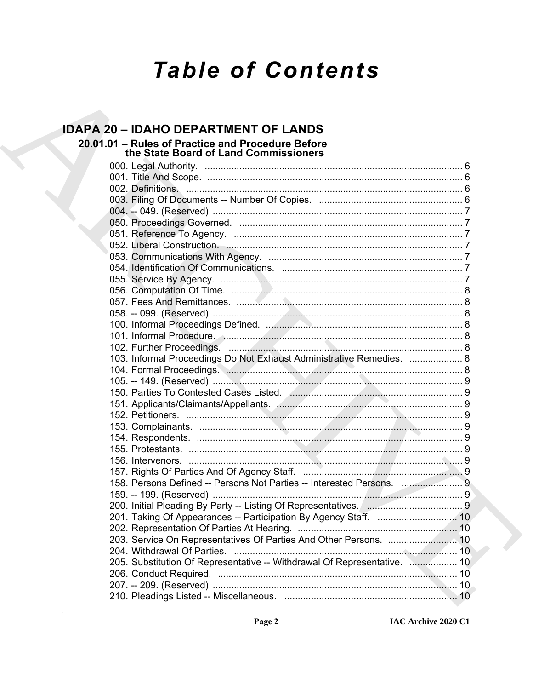# **Table of Contents**

# **IDAPA 20 - IDAHO DEPARTMENT OF LANDS** 20.01.01 - Rules of Practice and Procedure Before the State Board of Land Commissioners 103. Informal Proceedings Do Not Exhaust Administrative Remedies. ................... 8 158. Persons Defined -- Persons Not Parties -- Interested Persons. ................................. 203. Service On Representatives Of Parties And Other Persons. .......................... 10 205. Substitution Of Representative -- Withdrawal Of Representative. ................... 10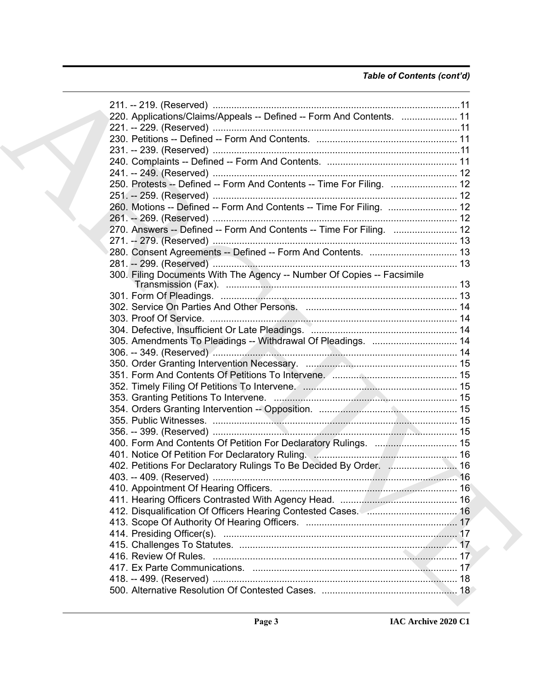# *Table of Contents (cont'd)*

| 220. Applications/Claims/Appeals -- Defined -- Form And Contents.  11                |  |
|--------------------------------------------------------------------------------------|--|
|                                                                                      |  |
|                                                                                      |  |
|                                                                                      |  |
|                                                                                      |  |
|                                                                                      |  |
| 250. Protests -- Defined -- Form And Contents -- Time For Filing.  12                |  |
|                                                                                      |  |
| 260. Motions -- Defined -- Form And Contents -- Time For Filing.  12                 |  |
|                                                                                      |  |
|                                                                                      |  |
| 270. Answers -- Defined -- Form And Contents -- Time For Filing.  12                 |  |
|                                                                                      |  |
|                                                                                      |  |
|                                                                                      |  |
| 300. Filing Documents With The Agency -- Number Of Copies -- Facsimile               |  |
|                                                                                      |  |
|                                                                                      |  |
|                                                                                      |  |
|                                                                                      |  |
| 305. Amendments To Pleadings -- Withdrawal Of Pleadings.  14                         |  |
|                                                                                      |  |
|                                                                                      |  |
|                                                                                      |  |
|                                                                                      |  |
|                                                                                      |  |
|                                                                                      |  |
|                                                                                      |  |
|                                                                                      |  |
|                                                                                      |  |
|                                                                                      |  |
|                                                                                      |  |
| 402. Petitions For Declaratory Rulings To Be Decided By Order.  16                   |  |
|                                                                                      |  |
|                                                                                      |  |
|                                                                                      |  |
| 412. Disqualification Of Officers Hearing Contested Cases. <b>2.2.2.2.2.19.19 16</b> |  |
|                                                                                      |  |
|                                                                                      |  |
|                                                                                      |  |
|                                                                                      |  |
|                                                                                      |  |
|                                                                                      |  |
|                                                                                      |  |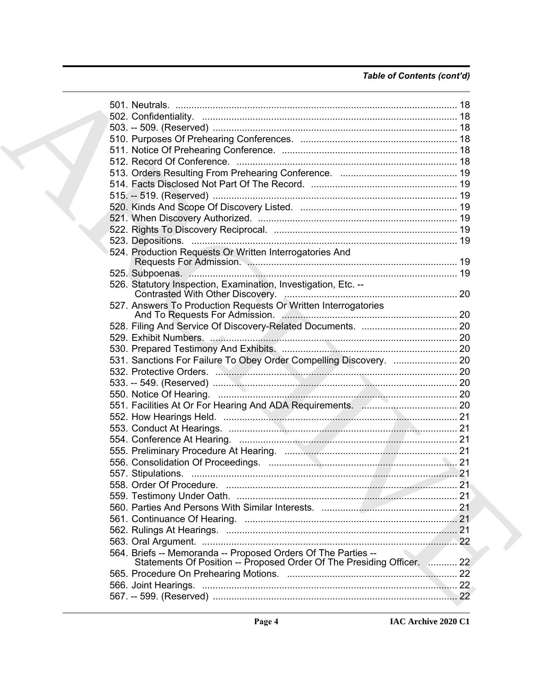# Table of Contents (cont'd)

|  | 524. Production Requests Or Written Interrogatories And                |      |  |
|--|------------------------------------------------------------------------|------|--|
|  |                                                                        |      |  |
|  |                                                                        |      |  |
|  | 526. Statutory Inspection, Examination, Investigation, Etc. --         |      |  |
|  |                                                                        |      |  |
|  | 527. Answers To Production Requests Or Written Interrogatories         |      |  |
|  |                                                                        |      |  |
|  |                                                                        |      |  |
|  |                                                                        |      |  |
|  |                                                                        |      |  |
|  | 531. Sanctions For Failure To Obey Order Compelling Discovery.  20     |      |  |
|  | 532. Protective Orders. Machinese Machinese Machinese Machinese 20     |      |  |
|  |                                                                        |      |  |
|  |                                                                        |      |  |
|  |                                                                        |      |  |
|  |                                                                        |      |  |
|  |                                                                        |      |  |
|  |                                                                        |      |  |
|  |                                                                        |      |  |
|  |                                                                        |      |  |
|  |                                                                        |      |  |
|  | 558. Order Of Procedure                                                | . 21 |  |
|  |                                                                        |      |  |
|  |                                                                        |      |  |
|  |                                                                        |      |  |
|  |                                                                        |      |  |
|  |                                                                        |      |  |
|  | 564. Briefs -- Memoranda -- Proposed Orders Of The Parties --          |      |  |
|  | Statements Of Position -- Proposed Order Of The Presiding Officer.  22 |      |  |
|  |                                                                        |      |  |
|  |                                                                        |      |  |
|  |                                                                        |      |  |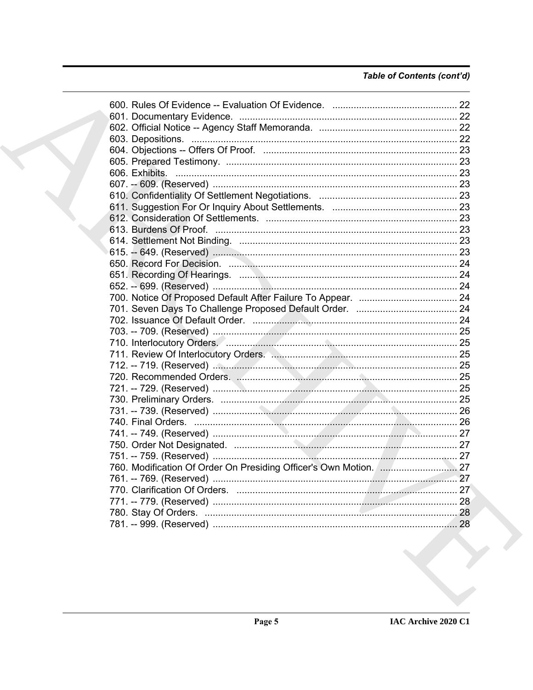# Table of Contents (cont'd)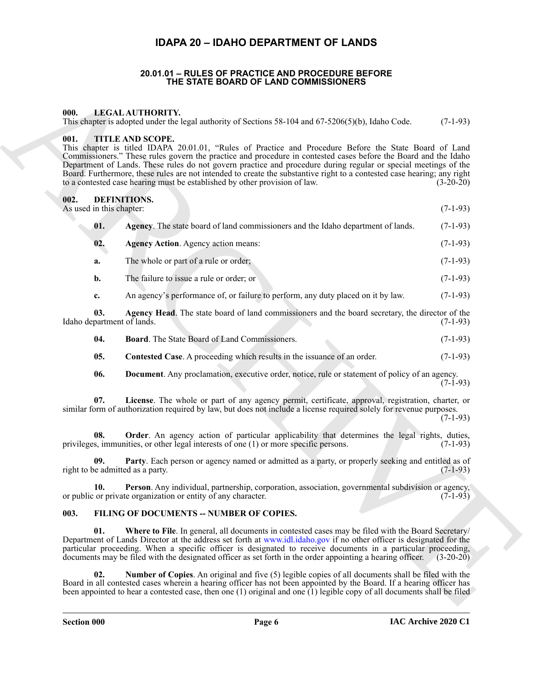# **IDAPA 20 – IDAHO DEPARTMENT OF LANDS**

#### **20.01.01 – RULES OF PRACTICE AND PROCEDURE BEFORE THE STATE BOARD OF LAND COMMISSIONERS**

#### <span id="page-5-18"></span><span id="page-5-2"></span><span id="page-5-1"></span><span id="page-5-0"></span>**000. LEGAL AUTHORITY.**

This chapter is adopted under the legal authority of Sections 58-104 and 67-5206(5)(b), Idaho Code. (7-1-93)

#### <span id="page-5-19"></span><span id="page-5-3"></span>**001. TITLE AND SCOPE.**

**EXAMPLE THE STATE BOARD OF LAND COMMISSIONERS**<br>
This stars a slapest subset of the language and satisfy of Senious decline and (2.500x(50)), leady-circle.<br>
This stars are slapest under the language and the same of the sa This chapter is titled IDAPA 20.01.01, "Rules of Practice and Procedure Before the State Board of Land Commissioners." These rules govern the practice and procedure in contested cases before the Board and the Idaho Department of Lands. These rules do not govern practice and procedure during regular or special meetings of the Board. Furthermore, these rules are not intended to create the substantive right to a contested case hearing; any right to a contested case hearing must be established by other provision of law. (3-20-20) to a contested case hearing must be established by other provision of law.

#### <span id="page-5-6"></span><span id="page-5-4"></span>**002. DEFINITIONS.**

<span id="page-5-8"></span><span id="page-5-7"></span>

- As used in this chapter: (7-1-93)
	- **01.** Agency. The state board of land commissioners and the Idaho department of lands. (7-1-93) **02. Agency Action**. Agency action means: (7-1-93)
	- **a.** The whole or part of a rule or order; (7-1-93)
	- **b.** The failure to issue a rule or order; or (7-1-93)
	- **c.** An agency's performance of, or failure to perform, any duty placed on it by law. (7-1-93)

**03. Agency Head**. The state board of land commissioners and the board secretary, the director of the Idaho department of lands. (7-1-93)

- <span id="page-5-10"></span><span id="page-5-9"></span>**04. Board**. The State Board of Land Commissioners. (7-1-93)
- <span id="page-5-11"></span>**05.** Contested Case. A proceeding which results in the issuance of an order. (7-1-93)
- <span id="page-5-14"></span><span id="page-5-13"></span><span id="page-5-12"></span>**06. Document**. Any proclamation, executive order, notice, rule or statement of policy of an agency.  $(7-1-93)$

**07. License**. The whole or part of any agency permit, certificate, approval, registration, charter, or similar form of authorization required by law, but does not include a license required solely for revenue purposes.

(7-1-93)

**08.** Order. An agency action of particular applicability that determines the legal rights, duties, s, immunities, or other legal interests of one (1) or more specific persons. (7-1-93) privileges, immunities, or other legal interests of one  $(1)$  or more specific persons.

<span id="page-5-15"></span>**09. Party**. Each person or agency named or admitted as a party, or properly seeking and entitled as of e admitted as a party. (7-1-93) right to be admitted as a party.

<span id="page-5-16"></span>**10. Person**. Any individual, partnership, corporation, association, governmental subdivision or agency, or public or private organization or entity of any character. (7-1-93)

#### <span id="page-5-17"></span><span id="page-5-5"></span>**003. FILING OF DOCUMENTS -- NUMBER OF COPIES.**

**01.** Where to File. In general, all documents in contested cases may be filed with the Board Secretary/ Department of Lands Director at the address set forth at www.idl.idaho.gov if no other officer is designated for the particular proceeding. When a specific officer is designated to receive documents in a particular proceeding, documents may be filed with the designated officer as set forth in the order appointing a hearing officer. (3-20-20)

**02. Number of Copies**. An original and five (5) legible copies of all documents shall be filed with the Board in all contested cases wherein a hearing officer has not been appointed by the Board. If a hearing officer has been appointed to hear a contested case, then one (1) original and one (1) legible copy of all documents shall be filed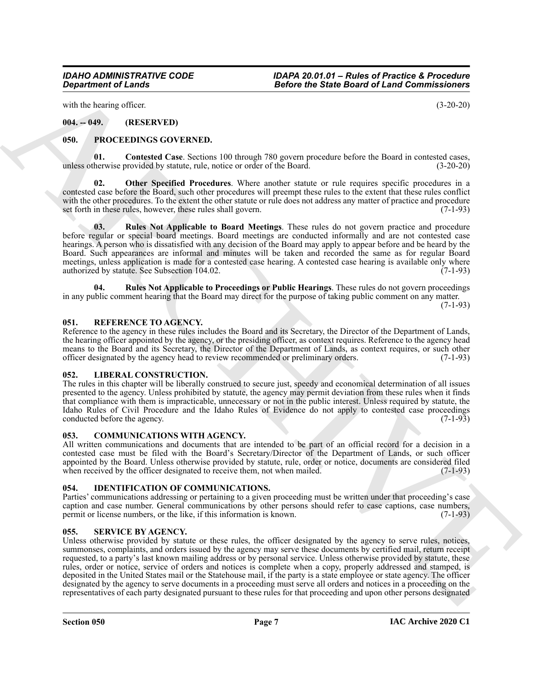with the hearing officer. (3-20-20)

# <span id="page-6-0"></span>**004. -- 049. (RESERVED)**

# <span id="page-6-10"></span><span id="page-6-1"></span>**050. PROCEEDINGS GOVERNED.**

<span id="page-6-11"></span>**01.** Contested Case. Sections 100 through 780 govern procedure before the Board in contested cases, herwise provided by statute, rule, notice or order of the Board. (3-20-20) unless otherwise provided by statute, rule, notice or order of the Board.

<span id="page-6-12"></span>**Other Specified Procedures**. Where another statute or rule requires specific procedures in a contested case before the Board, such other procedures will preempt these rules to the extent that these rules conflict with the other procedures. To the extent the other statute or rule does not address any matter of practice and procedure<br>set forth in these rules, however, these rules shall govern. set forth in these rules, however, these rules shall govern.

<span id="page-6-13"></span>**03. Rules Not Applicable to Board Meetings**. These rules do not govern practice and procedure before regular or special board meetings. Board meetings are conducted informally and are not contested case hearings. A person who is dissatisfied with any decision of the Board may apply to appear before and be heard by the Board. Such appearances are informal and minutes will be taken and recorded the same as for regular Board meetings, unless application is made for a contested case hearing. A contested case hearing is available only where authorized by statute. See Subsection 104.02.

<span id="page-6-14"></span>**04. Rules Not Applicable to Proceedings or Public Hearings**. These rules do not govern proceedings in any public comment hearing that the Board may direct for the purpose of taking public comment on any matter.

 $(7-1-93)$ 

#### <span id="page-6-15"></span><span id="page-6-2"></span>**051. REFERENCE TO AGENCY.**

Reference to the agency in these rules includes the Board and its Secretary, the Director of the Department of Lands, the hearing officer appointed by the agency, or the presiding officer, as context requires. Reference to the agency head means to the Board and its Secretary, the Director of the Department of Lands, as context requires, or such other officer designated by the agency head to review recommended or preliminary orders. (7-1-93)

#### <span id="page-6-9"></span><span id="page-6-3"></span>**052. LIBERAL CONSTRUCTION.**

The rules in this chapter will be liberally construed to secure just, speedy and economical determination of all issues presented to the agency. Unless prohibited by statute, the agency may permit deviation from these rules when it finds that compliance with them is impracticable, unnecessary or not in the public interest. Unless required by statute, the Idaho Rules of Civil Procedure and the Idaho Rules of Evidence do not apply to contested case proceedings conducted before the agency. (7-1-93) conducted before the agency.

#### <span id="page-6-7"></span><span id="page-6-4"></span>**053. COMMUNICATIONS WITH AGENCY.**

All written communications and documents that are intended to be part of an official record for a decision in a contested case must be filed with the Board's Secretary/Director of the Department of Lands, or such officer appointed by the Board. Unless otherwise provided by statute, rule, order or notice, documents are considered filed when received by the officer designated to receive them, not when mailed. (7-1-93)

# <span id="page-6-8"></span><span id="page-6-5"></span>**054. IDENTIFICATION OF COMMUNICATIONS.**

Parties' communications addressing or pertaining to a given proceeding must be written under that proceeding's case caption and case number. General communications by other persons should refer to case captions, case numbers, permit or license numbers, or the like, if this information is known. (7-1-93)

# <span id="page-6-16"></span><span id="page-6-6"></span>**055. SERVICE BY AGENCY.**

Geographe of Canadia Control in the California Control in the Branch of the Branch of the International Control in the Canadia Control in the Canadia Control in the Canadia Control in the Canadia Control in the Canadia Co Unless otherwise provided by statute or these rules, the officer designated by the agency to serve rules, notices, summonses, complaints, and orders issued by the agency may serve these documents by certified mail, return receipt requested, to a party's last known mailing address or by personal service. Unless otherwise provided by statute, these rules, order or notice, service of orders and notices is complete when a copy, properly addressed and stamped, is deposited in the United States mail or the Statehouse mail, if the party is a state employee or state agency. The officer designated by the agency to serve documents in a proceeding must serve all orders and notices in a proceeding on the representatives of each party designated pursuant to these rules for that proceeding and upon other persons designated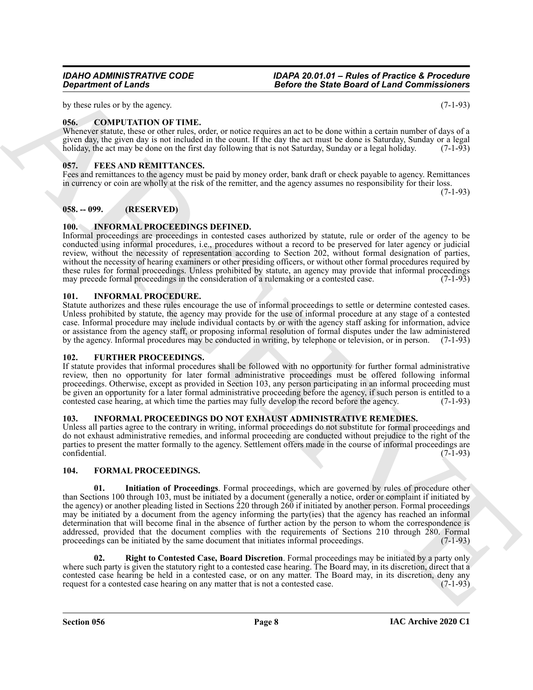by these rules or by the agency. (7-1-93)

# <span id="page-7-8"></span><span id="page-7-0"></span>**056. COMPUTATION OF TIME.**

Whenever statute, these or other rules, order, or notice requires an act to be done within a certain number of days of a given day, the given day is not included in the count. If the day the act must be done is Saturday, Sunday or a legal holiday, the act may be done on the first day following that is not Saturday, Sunday or a legal holiday. (7-1-93)

# <span id="page-7-9"></span><span id="page-7-1"></span>**057. FEES AND REMITTANCES.**

Fees and remittances to the agency must be paid by money order, bank draft or check payable to agency. Remittances in currency or coin are wholly at the risk of the remitter, and the agency assumes no responsibility for their loss. (7-1-93)

<span id="page-7-2"></span>**058. -- 099. (RESERVED)**

# <span id="page-7-15"></span><span id="page-7-3"></span>**100. INFORMAL PROCEEDINGS DEFINED.**

Informal proceedings are proceedings in contested cases authorized by statute, rule or order of the agency to be conducted using informal procedures, i.e., procedures without a record to be preserved for later agency or judicial review, without the necessity of representation according to Section 202, without formal designation of parties, without the necessity of hearing examiners or other presiding officers, or without other formal procedures required by these rules for formal proceedings. Unless prohibited by statute, an agency may provide that informal proceedings may precede formal proceedings in the consideration of a rulemaking or a contested case. (7-1-93)

# <span id="page-7-14"></span><span id="page-7-4"></span>**101. INFORMAL PROCEDURE.**

Statute authorizes and these rules encourage the use of informal proceedings to settle or determine contested cases. Unless prohibited by statute, the agency may provide for the use of informal procedure at any stage of a contested case. Informal procedure may include individual contacts by or with the agency staff asking for information, advice or assistance from the agency staff, or proposing informal resolution of formal disputes under the law administered by the agency. Informal procedures may be conducted in writing, by telephone or television, or in person. (7-1-93)

# <span id="page-7-13"></span><span id="page-7-5"></span>**102. FURTHER PROCEEDINGS.**

If statute provides that informal procedures shall be followed with no opportunity for further formal administrative review, then no opportunity for later formal administrative proceedings must be offered following informal proceedings. Otherwise, except as provided in Section 103, any person participating in an informal proceeding must be given an opportunity for a later formal administrative proceeding before the agency, if such person is entitled to a contested case hearing, at which time the parties may fully develop the record before the agency. (7-1 contested case hearing, at which time the parties may fully develop the record before the agency.

# <span id="page-7-16"></span><span id="page-7-6"></span>**103. INFORMAL PROCEEDINGS DO NOT EXHAUST ADMINISTRATIVE REMEDIES.**

Unless all parties agree to the contrary in writing, informal proceedings do not substitute for formal proceedings and do not exhaust administrative remedies, and informal proceeding are conducted without prejudice to the right of the parties to present the matter formally to the agency. Settlement offers made in the course of informal proceedings are confidential. (7-1-93)

# <span id="page-7-11"></span><span id="page-7-10"></span><span id="page-7-7"></span>**104. FORMAL PROCEEDINGS.**

**Department of Lends<br>
The Noise State Terms and the Commissionner of the State Board of Land Commissionner<br>
The Noise State Proposers of the Noise State Proposers and the Max state Proposers of the Noise State Proposers<br> 01. Initiation of Proceedings**. Formal proceedings, which are governed by rules of procedure other than Sections 100 through 103, must be initiated by a document (generally a notice, order or complaint if initiated by the agency) or another pleading listed in Sections 220 through 260 if initiated by another person. Formal proceedings may be initiated by a document from the agency informing the party(ies) that the agency has reached an informal determination that will become final in the absence of further action by the person to whom the correspondence is addressed, provided that the document complies with the requirements of Sections 210 through 280. Formal proceedings can be initiated by the same document that initiates informal proceedings.  $(7-1-93)$ proceedings can be initiated by the same document that initiates informal proceedings.

<span id="page-7-12"></span>**02. Right to Contested Case, Board Discretion**. Formal proceedings may be initiated by a party only where such party is given the statutory right to a contested case hearing. The Board may, in its discretion, direct that a contested case hearing be held in a contested case, or on any matter. The Board may, in its discretion, deny any request for a contested case hearing on any matter that is not a contested case. (7-1-93) request for a contested case hearing on any matter that is not a contested case.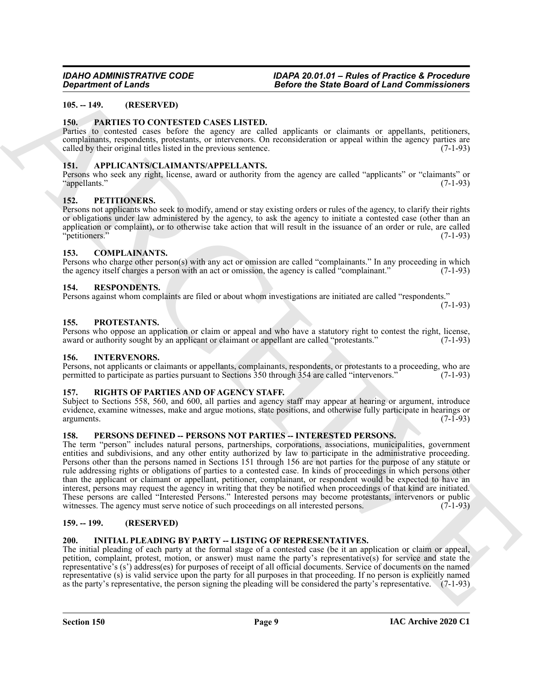### <span id="page-8-16"></span><span id="page-8-0"></span>**105. -- 149. (RESERVED)**

#### <span id="page-8-1"></span>**150. PARTIES TO CONTESTED CASES LISTED.**

Parties to contested cases before the agency are called applicants or claimants or appellants, petitioners, complainants, respondents, protestants, or intervenors. On reconsideration or appeal within the agency parties are called by their original titles listed in the previous sentence. (7-1-93)

#### <span id="page-8-12"></span><span id="page-8-2"></span>**151. APPLICANTS/CLAIMANTS/APPELLANTS.**

Persons who seek any right, license, award or authority from the agency are called "applicants" or "claimants" or "appellants." (7-1-93)

#### <span id="page-8-18"></span><span id="page-8-3"></span>**152. PETITIONERS.**

Persons not applicants who seek to modify, amend or stay existing orders or rules of the agency, to clarify their rights or obligations under law administered by the agency, to ask the agency to initiate a contested case (other than an application or complaint), or to otherwise take action that will result in the issuance of an order or rule, are called "petitioners." (7-1-93)

#### <span id="page-8-13"></span><span id="page-8-4"></span>**153. COMPLAINANTS.**

Persons who charge other person(s) with any act or omission are called "complainants." In any proceeding in which the agency itself charges a person with an act or omission, the agency is called "complainant." (7-1-93)

#### <span id="page-8-20"></span><span id="page-8-5"></span>**154. RESPONDENTS.**

Persons against whom complaints are filed or about whom investigations are initiated are called "respondents."

(7-1-93)

#### <span id="page-8-19"></span><span id="page-8-6"></span>**155. PROTESTANTS.**

Persons who oppose an application or claim or appeal and who have a statutory right to contest the right, license, award or authority sought by an applicant or claimant or appellant are called "protestants." (7-1-93)

#### <span id="page-8-15"></span><span id="page-8-7"></span>**156. INTERVENORS.**

Persons, not applicants or claimants or appellants, complainants, respondents, or protestants to a proceeding, who are permitted to participate as parties pursuant to Sections 350 through 354 are called "intervenors." (7-1-93)

#### <span id="page-8-21"></span><span id="page-8-8"></span>**157. RIGHTS OF PARTIES AND OF AGENCY STAFF.**

Subject to Sections 558, 560, and 600, all parties and agency staff may appear at hearing or argument, introduce evidence, examine witnesses, make and argue motions, state positions, and otherwise fully participate in hearings or arguments. (7-1-93) arguments. (7-1-93)

#### <span id="page-8-17"></span><span id="page-8-9"></span>**158. PERSONS DEFINED -- PERSONS NOT PARTIES -- INTERESTED PERSONS.**

Gross change of Leads 1.<br>
18. (a) 19. (a) 19. (b) 19. (b) 19. (b) 19. (b) 19. (b) 19. (b) 19. (b) 19. (b) 19. (b) 19. (b) 19. (b) 19. (b) 19. (b) 19. (b) 19. (b) 19. (b) 19. (b) 19. (b) 19. (b) 19. (b) 19. (b) 19. (b) 19. The term "person" includes natural persons, partnerships, corporations, associations, municipalities, government entities and subdivisions, and any other entity authorized by law to participate in the administrative proceeding. Persons other than the persons named in Sections 151 through 156 are not parties for the purpose of any statute or rule addressing rights or obligations of parties to a contested case. In kinds of proceedings in which persons other than the applicant or claimant or appellant, petitioner, complainant, or respondent would be expected to have an interest, persons may request the agency in writing that they be notified when proceedings of that kind are initiated. These persons are called "Interested Persons." Interested persons may become protestants, intervenors or public witnesses. The agency must serve notice of such proceedings on all interested persons. (7-1-93)

#### <span id="page-8-10"></span>**159. -- 199. (RESERVED)**

#### <span id="page-8-14"></span><span id="page-8-11"></span>**200. INITIAL PLEADING BY PARTY -- LISTING OF REPRESENTATIVES.**

The initial pleading of each party at the formal stage of a contested case (be it an application or claim or appeal, petition, complaint, protest, motion, or answer) must name the party's representative(s) for service and state the representative's (s') address(es) for purposes of receipt of all official documents. Service of documents on the named representative (s) is valid service upon the party for all purposes in that proceeding. If no person is explicitly named as the party's representative, the person signing the pleading will be considered the party's representative. (7-1-93)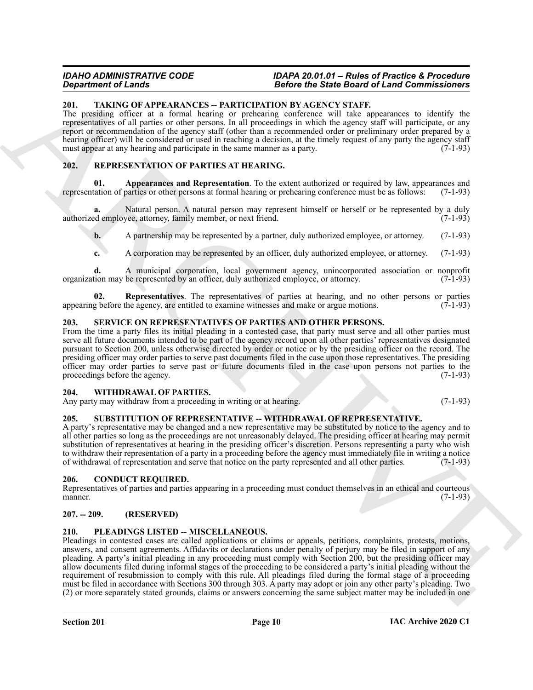# <span id="page-9-15"></span><span id="page-9-0"></span>**201. TAKING OF APPEARANCES -- PARTICIPATION BY AGENCY STAFF.**

The presiding officer at a formal hearing or prehearing conference will take appearances to identify the representatives of all parties or other persons. In all proceedings in which the agency staff will participate, or any report or recommendation of the agency staff (other than a recommended order or preliminary order prepared by a hearing officer) will be considered or used in reaching a decision, at the timely request of any party the agency staff must appear at any hearing and participate in the same manner as a party. (7-1-93) must appear at any hearing and participate in the same manner as a party.

# <span id="page-9-11"></span><span id="page-9-10"></span><span id="page-9-1"></span>**202. REPRESENTATION OF PARTIES AT HEARING.**

**01. Appearances and Representation**. To the extent authorized or required by law, appearances and tation of parties or other persons at formal hearing or prehearing conference must be as follows: (7-1-93) representation of parties or other persons at formal hearing or prehearing conference must be as follows:

**a.** Natural person. A natural person may represent himself or herself or be represented by a duly demployee, attorney, family member, or next friend. (7-1-93) authorized employee, attorney, family member, or next friend.

**b.** A partnership may be represented by a partner, duly authorized employee, or attorney. (7-1-93)

<span id="page-9-12"></span>**c.** A corporation may be represented by an officer, duly authorized employee, or attorney. (7-1-93)

**d.** A municipal corporation, local government agency, unincorporated association or nonprofit tion may be represented by an officer, duly authorized employee, or attorney. (7-1-93) organization may be represented by an officer, duly authorized employee, or attorney.

**02.** Representatives. The representatives of parties at hearing, and no other persons or parties g before the agency, are entitled to examine witnesses and make or argue motions. (7-1-93) appearing before the agency, are entitled to examine witnesses and make or argue motions.

# <span id="page-9-13"></span><span id="page-9-2"></span>**203. SERVICE ON REPRESENTATIVES OF PARTIES AND OTHER PERSONS.**

From the time a party files its initial pleading in a contested case, that party must serve and all other parties must serve all future documents intended to be part of the agency record upon all other parties' representatives designated pursuant to Section 200, unless otherwise directed by order or notice or by the presiding officer on the record. The presiding officer may order parties to serve past documents filed in the case upon those representatives. The presiding officer may order parties to serve past or future documents filed in the case upon persons not parties to the proceedings before the agency.  $(7-1-93)$ 

#### <span id="page-9-16"></span><span id="page-9-3"></span>**204. WITHDRAWAL OF PARTIES.**

Any party may withdraw from a proceeding in writing or at hearing. (7-1-93)

# <span id="page-9-14"></span><span id="page-9-4"></span>**205. SUBSTITUTION OF REPRESENTATIVE -- WITHDRAWAL OF REPRESENTATIVE.**

A party's representative may be changed and a new representative may be substituted by notice to the agency and to all other parties so long as the proceedings are not unreasonably delayed. The presiding officer at hearing may permit substitution of representatives at hearing in the presiding officer's discretion. Persons representing a party who wish to withdraw their representation of a party in a proceeding before the agency must immediately file in writing a notice of withdrawal of representation and serve that notice on the party represented and all other parties. (7-1-93)

# <span id="page-9-8"></span><span id="page-9-5"></span>**206. CONDUCT REQUIRED.**

Representatives of parties and parties appearing in a proceeding must conduct themselves in an ethical and courteous manner. (7-1-93) manner.  $(7-1-93)$ 

# <span id="page-9-6"></span>**207. -- 209. (RESERVED)**

# <span id="page-9-9"></span><span id="page-9-7"></span>**210. PLEADINGS LISTED -- MISCELLANEOUS.**

**Experimental Constraints of the Constraints of the Constraints of the Barcel Galacteristics of the Construction of the Construction of the Construction of the Construction of the Construction of the Construction of the C** Pleadings in contested cases are called applications or claims or appeals, petitions, complaints, protests, motions, answers, and consent agreements. Affidavits or declarations under penalty of perjury may be filed in support of any pleading. A party's initial pleading in any proceeding must comply with Section 200, but the presiding officer may allow documents filed during informal stages of the proceeding to be considered a party's initial pleading without the requirement of resubmission to comply with this rule. All pleadings filed during the formal stage of a proceeding must be filed in accordance with Sections 300 through 303. A party may adopt or join any other party's pleading. Two (2) or more separately stated grounds, claims or answers concerning the same subject matter may be included in one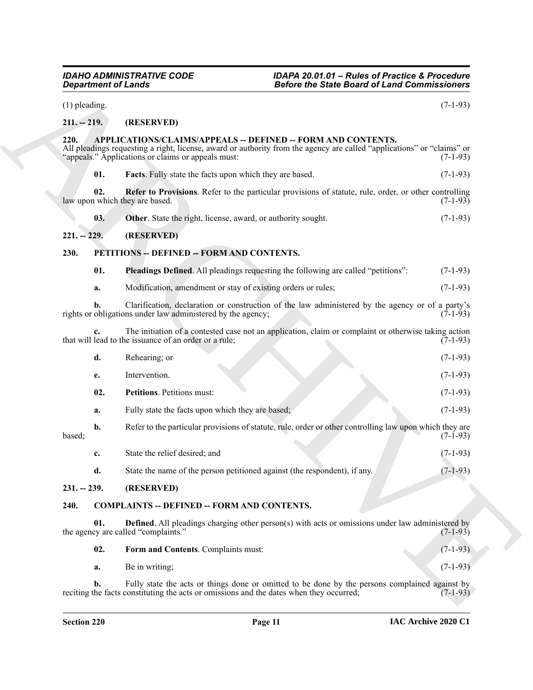<span id="page-10-15"></span><span id="page-10-14"></span><span id="page-10-13"></span><span id="page-10-12"></span><span id="page-10-11"></span><span id="page-10-10"></span><span id="page-10-9"></span><span id="page-10-8"></span><span id="page-10-7"></span><span id="page-10-6"></span><span id="page-10-5"></span><span id="page-10-4"></span><span id="page-10-3"></span><span id="page-10-2"></span><span id="page-10-1"></span><span id="page-10-0"></span>

|                 | <b>Department of Lands</b>                                                                                                                                                                                                                   | <b>Before the State Board of Land Commissioners</b> |  |
|-----------------|----------------------------------------------------------------------------------------------------------------------------------------------------------------------------------------------------------------------------------------------|-----------------------------------------------------|--|
| $(1)$ pleading. |                                                                                                                                                                                                                                              | $(7-1-93)$                                          |  |
| $211. - 219.$   | (RESERVED)                                                                                                                                                                                                                                   |                                                     |  |
| 220.            | APPLICATIONS/CLAIMS/APPEALS -- DEFINED -- FORM AND CONTENTS.<br>All pleadings requesting a right, license, award or authority from the agency are called "applications" or "claims" or<br>"appeals." Applications or claims or appeals must: | $(7-1-93)$                                          |  |
| 01.             | <b>Facts</b> . Fully state the facts upon which they are based.                                                                                                                                                                              | $(7-1-93)$                                          |  |
| 02.             | Refer to Provisions. Refer to the particular provisions of statute, rule, order, or other controlling<br>law upon which they are based.                                                                                                      | $(7-1-93)$                                          |  |
| 03.             | Other. State the right, license, award, or authority sought.                                                                                                                                                                                 | $(7-1-93)$                                          |  |
| $221. - 229.$   | (RESERVED)                                                                                                                                                                                                                                   |                                                     |  |
| 230.            | PETITIONS -- DEFINED -- FORM AND CONTENTS.                                                                                                                                                                                                   |                                                     |  |
| 01.             | Pleadings Defined. All pleadings requesting the following are called "petitions":                                                                                                                                                            | $(7-1-93)$                                          |  |
| a.              | Modification, amendment or stay of existing orders or rules;                                                                                                                                                                                 | $(7-1-93)$                                          |  |
|                 | Clarification, declaration or construction of the law administered by the agency or of a party's<br>rights or obligations under law administered by the agency;                                                                              | $(7-1-93)$                                          |  |
| c.              | The initiation of a contested case not an application, claim or complaint or otherwise taking action<br>that will lead to the issuance of an order or a rule;                                                                                | $(7-1-93)$                                          |  |
| d.              | Rehearing; or                                                                                                                                                                                                                                | $(7-1-93)$                                          |  |
| e.              | Intervention.                                                                                                                                                                                                                                | $(7-1-93)$                                          |  |
| 02.             | Petitions. Petitions must:                                                                                                                                                                                                                   | $(7-1-93)$                                          |  |
| a.              | Fully state the facts upon which they are based;                                                                                                                                                                                             | $(7-1-93)$                                          |  |
| b.<br>based;    | Refer to the particular provisions of statute, rule, order or other controlling law upon which they are                                                                                                                                      | $(7-1-93)$                                          |  |
| c.              | State the relief desired; and                                                                                                                                                                                                                | $(7-1-93)$                                          |  |
| d.              | State the name of the person petitioned against (the respondent), if any.                                                                                                                                                                    | $(7-1-93)$                                          |  |
| $231. - 239.$   | (RESERVED)                                                                                                                                                                                                                                   |                                                     |  |
| 240.            | <b>COMPLAINTS -- DEFINED -- FORM AND CONTENTS.</b>                                                                                                                                                                                           |                                                     |  |
| 01.             | <b>Defined</b> . All pleadings charging other person(s) with acts or omissions under law administered by<br>the agency are called "complaints."                                                                                              | $(7-1-93)$                                          |  |
| 02.             | Form and Contents. Complaints must:                                                                                                                                                                                                          | $(7-1-93)$                                          |  |
| a.              | Be in writing;                                                                                                                                                                                                                               | $(7-1-93)$                                          |  |
|                 |                                                                                                                                                                                                                                              |                                                     |  |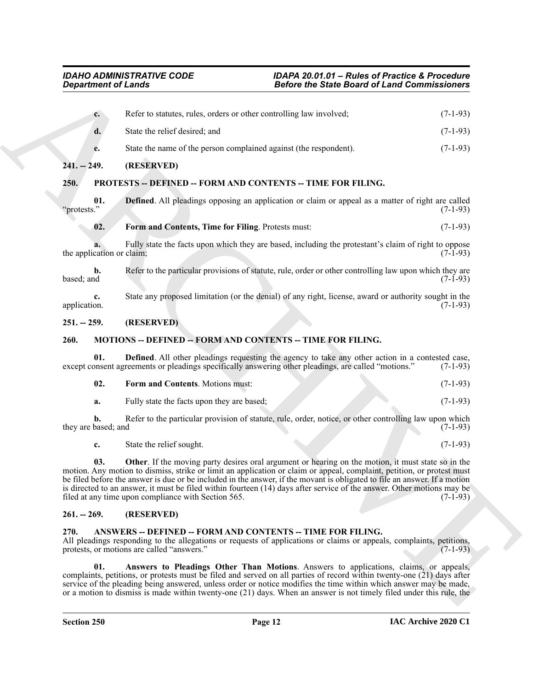<span id="page-11-12"></span><span id="page-11-1"></span><span id="page-11-0"></span>

| <b>Department of Lands</b>                                                                                                                                                         |                                                                                                                                                                                                                                                                                                                                                                                                                                                                                                                                            | <b>Before the State Board of Land Commissioners</b>                                                               |            |
|------------------------------------------------------------------------------------------------------------------------------------------------------------------------------------|--------------------------------------------------------------------------------------------------------------------------------------------------------------------------------------------------------------------------------------------------------------------------------------------------------------------------------------------------------------------------------------------------------------------------------------------------------------------------------------------------------------------------------------------|-------------------------------------------------------------------------------------------------------------------|------------|
| $c_{\cdot}$                                                                                                                                                                        | Refer to statutes, rules, orders or other controlling law involved;                                                                                                                                                                                                                                                                                                                                                                                                                                                                        |                                                                                                                   | $(7-1-93)$ |
| d.                                                                                                                                                                                 | State the relief desired; and                                                                                                                                                                                                                                                                                                                                                                                                                                                                                                              |                                                                                                                   | $(7-1-93)$ |
| e.                                                                                                                                                                                 | State the name of the person complained against (the respondent).                                                                                                                                                                                                                                                                                                                                                                                                                                                                          |                                                                                                                   | $(7-1-93)$ |
| $241. - 249.$                                                                                                                                                                      | (RESERVED)                                                                                                                                                                                                                                                                                                                                                                                                                                                                                                                                 |                                                                                                                   |            |
| 250.                                                                                                                                                                               | PROTESTS -- DEFINED -- FORM AND CONTENTS -- TIME FOR FILING.                                                                                                                                                                                                                                                                                                                                                                                                                                                                               |                                                                                                                   |            |
| 01.<br>"protests."                                                                                                                                                                 | <b>Defined.</b> All pleadings opposing an application or claim or appeal as a matter of right are called                                                                                                                                                                                                                                                                                                                                                                                                                                   |                                                                                                                   | $(7-1-93)$ |
| 02.                                                                                                                                                                                | Form and Contents, Time for Filing. Protests must:                                                                                                                                                                                                                                                                                                                                                                                                                                                                                         |                                                                                                                   | $(7-1-93)$ |
| the application or claim;                                                                                                                                                          | Fully state the facts upon which they are based, including the protestant's claim of right to oppose                                                                                                                                                                                                                                                                                                                                                                                                                                       |                                                                                                                   | $(7-1-93)$ |
| $\mathbf{b}$ .<br>based; and                                                                                                                                                       | Refer to the particular provisions of statute, rule, order or other controlling law upon which they are                                                                                                                                                                                                                                                                                                                                                                                                                                    |                                                                                                                   | $(7-1-93)$ |
| c.<br>application.                                                                                                                                                                 | State any proposed limitation (or the denial) of any right, license, award or authority sought in the                                                                                                                                                                                                                                                                                                                                                                                                                                      |                                                                                                                   | $(7-1-93)$ |
| $251. - 259.$                                                                                                                                                                      | (RESERVED)                                                                                                                                                                                                                                                                                                                                                                                                                                                                                                                                 |                                                                                                                   |            |
| MOTIONS -- DEFINED -- FORM AND CONTENTS -- TIME FOR FILING.<br>260.<br>01.<br>except consent agreements or pleadings specifically answering other pleadings, are called "motions." |                                                                                                                                                                                                                                                                                                                                                                                                                                                                                                                                            |                                                                                                                   |            |
|                                                                                                                                                                                    |                                                                                                                                                                                                                                                                                                                                                                                                                                                                                                                                            | <b>Defined.</b> All other pleadings requesting the agency to take any other action in a contested case,           | $(7-1-93)$ |
| 02.                                                                                                                                                                                | Form and Contents. Motions must:                                                                                                                                                                                                                                                                                                                                                                                                                                                                                                           |                                                                                                                   | $(7-1-93)$ |
| a.                                                                                                                                                                                 | Fully state the facts upon they are based;                                                                                                                                                                                                                                                                                                                                                                                                                                                                                                 |                                                                                                                   | $(7-1-93)$ |
| b.<br>they are based; and                                                                                                                                                          | Refer to the particular provision of statute, rule, order, notice, or other controlling law upon which                                                                                                                                                                                                                                                                                                                                                                                                                                     |                                                                                                                   | $(7-1-93)$ |
| c.                                                                                                                                                                                 | State the relief sought.                                                                                                                                                                                                                                                                                                                                                                                                                                                                                                                   |                                                                                                                   | $(7-1-93)$ |
| 03.                                                                                                                                                                                | Other. If the moving party desires oral argument or hearing on the motion, it must state so in the<br>motion. Any motion to dismiss, strike or limit an application or claim or appeal, complaint, petition, or protest must<br>be filed before the answer is due or be included in the answer, if the movant is obligated to file an answer. If a motion<br>is directed to an answer, it must be filed within fourteen (14) days after service of the answer. Other motions may be<br>filed at any time upon compliance with Section 565. |                                                                                                                   | $(7-1-93)$ |
| $261. - 269.$                                                                                                                                                                      | (RESERVED)                                                                                                                                                                                                                                                                                                                                                                                                                                                                                                                                 |                                                                                                                   |            |
| 270.                                                                                                                                                                               | ANSWERS -- DEFINED -- FORM AND CONTENTS -- TIME FOR FILING.<br>All pleadings responding to the allegations or requests of applications or claims or appeals, complaints, petitions,<br>protests, or motions are called "answers."                                                                                                                                                                                                                                                                                                          |                                                                                                                   | $(7-1-93)$ |
| 01.                                                                                                                                                                                | Answers to Pleadings Other Than Motions. Answers to applications, claims, or appeals,<br>complaints, petitions, or protests must be filed and served on all parties of record within twenty-one (21) days after                                                                                                                                                                                                                                                                                                                            | service of the pleading being answered, unless order or notice modifies the time within which answer may be made, |            |

# <span id="page-11-14"></span><span id="page-11-13"></span><span id="page-11-2"></span>**251. -- 259. (RESERVED)**

### <span id="page-11-8"></span><span id="page-11-3"></span>**260. MOTIONS -- DEFINED -- FORM AND CONTENTS -- TIME FOR FILING.**

<span id="page-11-11"></span><span id="page-11-10"></span><span id="page-11-9"></span>

| 02. | <b>Form and Contents.</b> Motions must:    |  | $(7-1-93)$ |
|-----|--------------------------------------------|--|------------|
| а.  | Fully state the facts upon they are based; |  | $(7-1-93)$ |

# <span id="page-11-4"></span>**261. -- 269. (RESERVED)**

#### <span id="page-11-7"></span><span id="page-11-6"></span><span id="page-11-5"></span>**270. ANSWERS -- DEFINED -- FORM AND CONTENTS -- TIME FOR FILING.**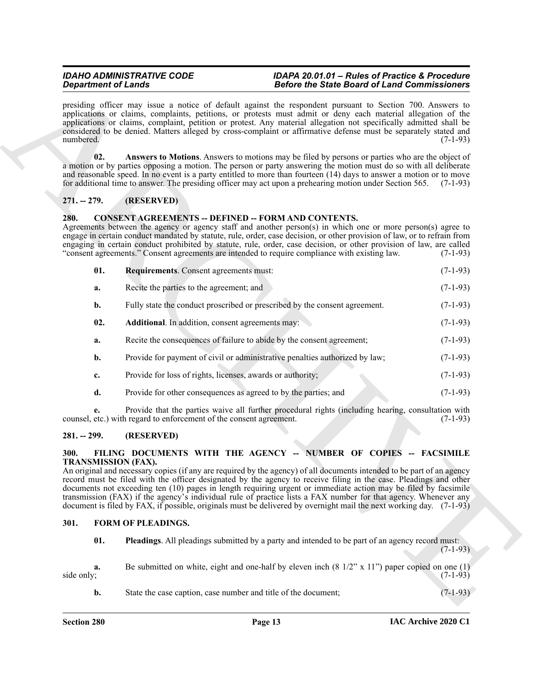# <span id="page-12-5"></span><span id="page-12-0"></span>**271. -- 279. (RESERVED)**

#### <span id="page-12-8"></span><span id="page-12-7"></span><span id="page-12-6"></span><span id="page-12-1"></span>**280. CONSENT AGREEMENTS -- DEFINED -- FORM AND CONTENTS.**

| <b>Department of Lands</b>         |                                                                             | <b>Before the State Board of Land Commissioners</b>                                                                                                                                                                                                                                                                                                                                                                                                                                                                                                                                                                                                                           |            |
|------------------------------------|-----------------------------------------------------------------------------|-------------------------------------------------------------------------------------------------------------------------------------------------------------------------------------------------------------------------------------------------------------------------------------------------------------------------------------------------------------------------------------------------------------------------------------------------------------------------------------------------------------------------------------------------------------------------------------------------------------------------------------------------------------------------------|------------|
| numbered.                          |                                                                             | presiding officer may issue a notice of default against the respondent pursuant to Section 700. Answers to<br>applications or claims, complaints, petitions, or protests must admit or deny each material allegation of the<br>applications or claims, complaint, petition or protest. Any material allegation not specifically admitted shall be<br>considered to be denied. Matters alleged by cross-complaint or affirmative defense must be separately stated and<br>$(7-1-93)$                                                                                                                                                                                           |            |
| 02.                                |                                                                             | Answers to Motions. Answers to motions may be filed by persons or parties who are the object of<br>a motion or by parties opposing a motion. The person or party answering the motion must do so with all deliberate<br>and reasonable speed. In no event is a party entitled to more than fourteen (14) days to answer a motion or to move<br>for additional time to answer. The presiding officer may act upon a prehearing motion under Section 565. (7-1-93)                                                                                                                                                                                                              |            |
| $271. - 279.$                      | (RESERVED)                                                                  |                                                                                                                                                                                                                                                                                                                                                                                                                                                                                                                                                                                                                                                                               |            |
| 280.                               | <b>CONSENT AGREEMENTS -- DEFINED -- FORM AND CONTENTS.</b>                  | Agreements between the agency or agency staff and another person(s) in which one or more person(s) agree to<br>engage in certain conduct mandated by statute, rule, order, case decision, or other provision of law, or to refrain from<br>engaging in certain conduct prohibited by statute, rule, order, case decision, or other provision of law, are called<br>"consent agreements." Consent agreements are intended to require compliance with existing law.                                                                                                                                                                                                             | $(7-1-93)$ |
| 01.                                | <b>Requirements.</b> Consent agreements must:                               |                                                                                                                                                                                                                                                                                                                                                                                                                                                                                                                                                                                                                                                                               | $(7-1-93)$ |
| a.                                 | Recite the parties to the agreement; and                                    |                                                                                                                                                                                                                                                                                                                                                                                                                                                                                                                                                                                                                                                                               | $(7-1-93)$ |
| b.                                 | Fully state the conduct proscribed or prescribed by the consent agreement.  |                                                                                                                                                                                                                                                                                                                                                                                                                                                                                                                                                                                                                                                                               | $(7-1-93)$ |
| 02.                                | Additional. In addition, consent agreements may:                            |                                                                                                                                                                                                                                                                                                                                                                                                                                                                                                                                                                                                                                                                               | $(7-1-93)$ |
| a.                                 | Recite the consequences of failure to abide by the consent agreement;       |                                                                                                                                                                                                                                                                                                                                                                                                                                                                                                                                                                                                                                                                               | $(7-1-93)$ |
| b.                                 | Provide for payment of civil or administrative penalties authorized by law; |                                                                                                                                                                                                                                                                                                                                                                                                                                                                                                                                                                                                                                                                               | $(7-1-93)$ |
| c.                                 | Provide for loss of rights, licenses, awards or authority;                  |                                                                                                                                                                                                                                                                                                                                                                                                                                                                                                                                                                                                                                                                               | $(7-1-93)$ |
| d.                                 | Provide for other consequences as agreed to by the parties; and             |                                                                                                                                                                                                                                                                                                                                                                                                                                                                                                                                                                                                                                                                               | $(7-1-93)$ |
| e.                                 | counsel, etc.) with regard to enforcement of the consent agreement.         | Provide that the parties waive all further procedural rights (including hearing, consultation with                                                                                                                                                                                                                                                                                                                                                                                                                                                                                                                                                                            | $(7-1-93)$ |
| $281. - 299.$                      | (RESERVED)                                                                  |                                                                                                                                                                                                                                                                                                                                                                                                                                                                                                                                                                                                                                                                               |            |
| 300.<br><b>TRANSMISSION (FAX).</b> |                                                                             | FILING DOCUMENTS WITH THE AGENCY -- NUMBER OF COPIES -- FACSIMILE<br>An original and necessary copies (if any are required by the agency) of all documents intended to be part of an agency<br>record must be filed with the officer designated by the agency to receive filing in the case. Pleadings and other<br>documents not exceeding ten (10) pages in length requiring urgent or immediate action may be filed by facsimile<br>transmission (FAX) if the agency's individual rule of practice lists a FAX number for that agency. Whenever any<br>document is filed by FAX, if possible, originals must be delivered by overnight mail the next working day. (7-1-93) |            |
| 301.                               | <b>FORM OF PLEADINGS.</b>                                                   |                                                                                                                                                                                                                                                                                                                                                                                                                                                                                                                                                                                                                                                                               |            |
| 01.                                |                                                                             | Pleadings. All pleadings submitted by a party and intended to be part of an agency record must:                                                                                                                                                                                                                                                                                                                                                                                                                                                                                                                                                                               | $(7-1-93)$ |
| a.<br>side only;                   |                                                                             | Be submitted on white, eight and one-half by eleven inch $(8\frac{1}{2}$ " x 11" paper copied on one (1)                                                                                                                                                                                                                                                                                                                                                                                                                                                                                                                                                                      | $(7-1-93)$ |
|                                    |                                                                             |                                                                                                                                                                                                                                                                                                                                                                                                                                                                                                                                                                                                                                                                               |            |

# <span id="page-12-2"></span>**281. -- 299. (RESERVED)**

# <span id="page-12-9"></span><span id="page-12-3"></span>**300. FILING DOCUMENTS WITH THE AGENCY -- NUMBER OF COPIES -- FACSIMILE TRANSMISSION (FAX).**

#### <span id="page-12-11"></span><span id="page-12-10"></span><span id="page-12-4"></span>**301. FORM OF PLEADINGS.**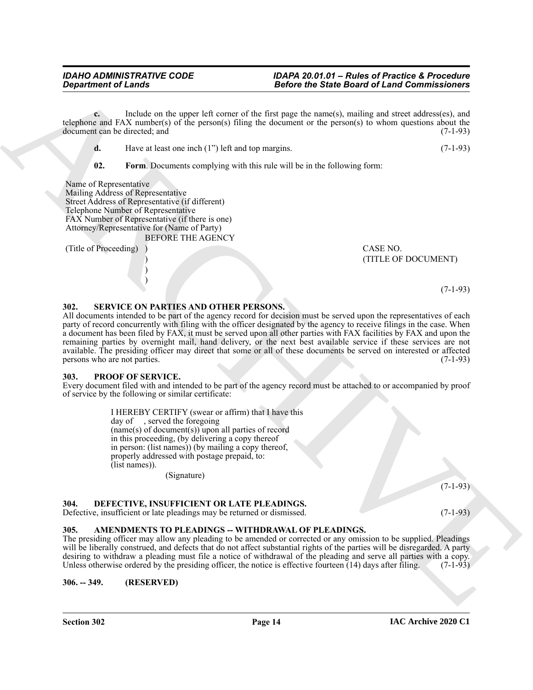**c.** Include on the upper left corner of the first page the name(s), mailing and street address(es), and telephone and FAX number(s) of the person(s) filing the document or the person(s) to whom questions about the document can be directed: and  $(7-1-93)$ document can be directed; and

**d.** Have at least one inch (1") left and top margins. (7-1-93)

<span id="page-13-7"></span>**02. Form**. Documents complying with this rule will be in the following form:

Name of Representative Mailing Address of Representative Street Address of Representative (if different) Telephone Number of Representative FAX Number of Representative (if there is one) Attorney/Representative for (Name of Party) BEFORE THE AGENCY

> ) )

(Title of Proceeding) ) CASE NO.

) (TITLE OF DOCUMENT)

#### (7-1-93)

#### <span id="page-13-9"></span><span id="page-13-0"></span>**302. SERVICE ON PARTIES AND OTHER PERSONS.**

Gregaritment of Lands<br>
and Theorem is the state of the State Board of Land Commissioners<br>
and the state of the state of the state of the state of the state of the state of the state of the state of the state of the state All documents intended to be part of the agency record for decision must be served upon the representatives of each party of record concurrently with filing with the officer designated by the agency to receive filings in the case. When a document has been filed by FAX, it must be served upon all other parties with FAX facilities by FAX and upon the remaining parties by overnight mail, hand delivery, or the next best available service if these services are not available. The presiding officer may direct that some or all of these documents be served on interested or affected persons who are not parties. (7-1-93) persons who are not parties.

#### <span id="page-13-8"></span><span id="page-13-1"></span>**303. PROOF OF SERVICE.**

Every document filed with and intended to be part of the agency record must be attached to or accompanied by proof of service by the following or similar certificate:

> I HEREBY CERTIFY (swear or affirm) that I have this day of , served the foregoing (name(s) of document(s)) upon all parties of record in this proceeding, (by delivering a copy thereof in person: (list names)) (by mailing a copy thereof, properly addressed with postage prepaid, to: (list names)).

(Signature)

# <span id="page-13-6"></span><span id="page-13-2"></span>**304. DEFECTIVE, INSUFFICIENT OR LATE PLEADINGS.**

Defective, insufficient or late pleadings may be returned or dismissed. (7-1-93)

# <span id="page-13-5"></span><span id="page-13-3"></span>**305. AMENDMENTS TO PLEADINGS -- WITHDRAWAL OF PLEADINGS.**

The presiding officer may allow any pleading to be amended or corrected or any omission to be supplied. Pleadings will be liberally construed, and defects that do not affect substantial rights of the parties will be disregarded. A party desiring to withdraw a pleading must file a notice of withdrawal of the pleading and serve all parties with a copy. Unless otherwise ordered by the presiding officer, the notice is effective fourteen  $(14)$  days after filing. (7-1-93)

<span id="page-13-4"></span>**306. -- 349. (RESERVED)**

(7-1-93)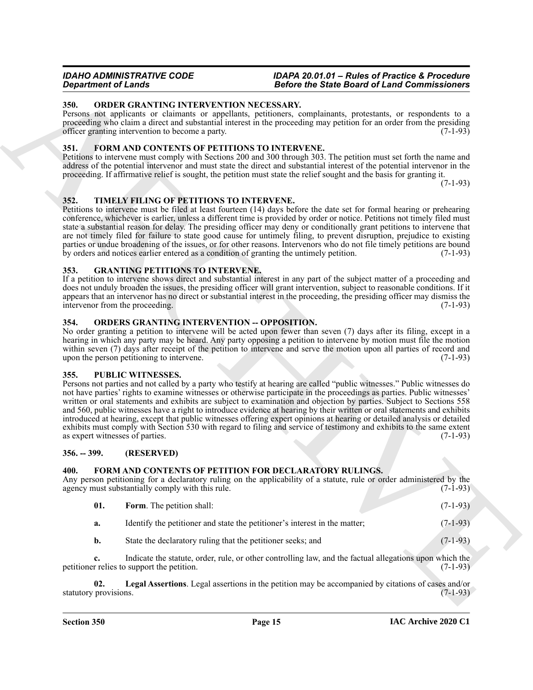#### <span id="page-14-13"></span><span id="page-14-0"></span>**350. ORDER GRANTING INTERVENTION NECESSARY.**

Persons not applicants or claimants or appellants, petitioners, complainants, protestants, or respondents to a proceeding who claim a direct and substantial interest in the proceeding may petition for an order from the presiding officer granting intervention to become a party.  $(7-1-93)$ 

### <span id="page-14-11"></span><span id="page-14-1"></span>**351. FORM AND CONTENTS OF PETITIONS TO INTERVENE.**

Petitions to intervene must comply with Sections 200 and 300 through 303. The petition must set forth the name and address of the potential intervenor and must state the direct and substantial interest of the potential intervenor in the proceeding. If affirmative relief is sought, the petition must state the relief sought and the basis for granting it.

(7-1-93)

# <span id="page-14-16"></span><span id="page-14-2"></span>**352. TIMELY FILING OF PETITIONS TO INTERVENE.**

Petitions to intervene must be filed at least fourteen (14) days before the date set for formal hearing or prehearing conference, whichever is earlier, unless a different time is provided by order or notice. Petitions not timely filed must state a substantial reason for delay. The presiding officer may deny or conditionally grant petitions to intervene that are not timely filed for failure to state good cause for untimely filing, to prevent disruption, prejudice to existing parties or undue broadening of the issues, or for other reasons. Intervenors who do not file timely petitions are bound<br>by orders and notices earlier entered as a condition of granting the untimely petition. (7-1-93) by orders and notices earlier entered as a condition of granting the untimely petition.

# <span id="page-14-12"></span><span id="page-14-3"></span>**353. GRANTING PETITIONS TO INTERVENE.**

If a petition to intervene shows direct and substantial interest in any part of the subject matter of a proceeding and does not unduly broaden the issues, the presiding officer will grant intervention, subject to reasonable conditions. If it appears that an intervenor has no direct or substantial interest in the proceeding, the presiding officer may dismiss the intervenor from the proceeding. (7-1-93)

#### <span id="page-14-14"></span><span id="page-14-4"></span>**354. ORDERS GRANTING INTERVENTION -- OPPOSITION.**

No order granting a petition to intervene will be acted upon fewer than seven (7) days after its filing, except in a hearing in which any party may be heard. Any party opposing a petition to intervene by motion must file the motion within seven (7) days after receipt of the petition to intervene and serve the motion upon all parties of record and upon the person petitioning to intervene. (7-1-93)

#### <span id="page-14-15"></span><span id="page-14-5"></span>**355. PUBLIC WITNESSES.**

**Spacehood of European Control in the Control in the Control in the Commutation Control in the Control in the Control in the Control in the Control in the Control in the Control in the Control in the Control in the Contro** Persons not parties and not called by a party who testify at hearing are called "public witnesses." Public witnesses do not have parties' rights to examine witnesses or otherwise participate in the proceedings as parties. Public witnesses' written or oral statements and exhibits are subject to examination and objection by parties. Subject to Sections 558 and 560, public witnesses have a right to introduce evidence at hearing by their written or oral statements and exhibits introduced at hearing, except that public witnesses offering expert opinions at hearing or detailed analysis or detailed exhibits must comply with Section 530 with regard to filing and service of testimony and exhibits to the same extent as expert witnesses of parties. (7-1-93)

# <span id="page-14-6"></span>**356. -- 399. (RESERVED)**

# <span id="page-14-8"></span><span id="page-14-7"></span>**400. FORM AND CONTENTS OF PETITION FOR DECLARATORY RULINGS.**

Any person petitioning for a declaratory ruling on the applicability of a statute, rule or order administered by the agency must substantially comply with this rule. (7-1-93) agency must substantially comply with this rule.

<span id="page-14-9"></span>

|  | <b>Form.</b> The petition shall: |  | $(7-1-93)$ |
|--|----------------------------------|--|------------|
|--|----------------------------------|--|------------|

| а. | Identify the petitioner and state the petitioner's interest in the matter: | $(7-1-93)$ |
|----|----------------------------------------------------------------------------|------------|
|----|----------------------------------------------------------------------------|------------|

<span id="page-14-10"></span>**b.** State the declaratory ruling that the petitioner seeks; and (7-1-93)

**c.** Indicate the statute, order, rule, or other controlling law, and the factual allegations upon which the petitioner relies to support the petition. (7-1-93)

**02. Legal Assertions**. Legal assertions in the petition may be accompanied by citations of cases and/or statutory provisions. (7-1-93)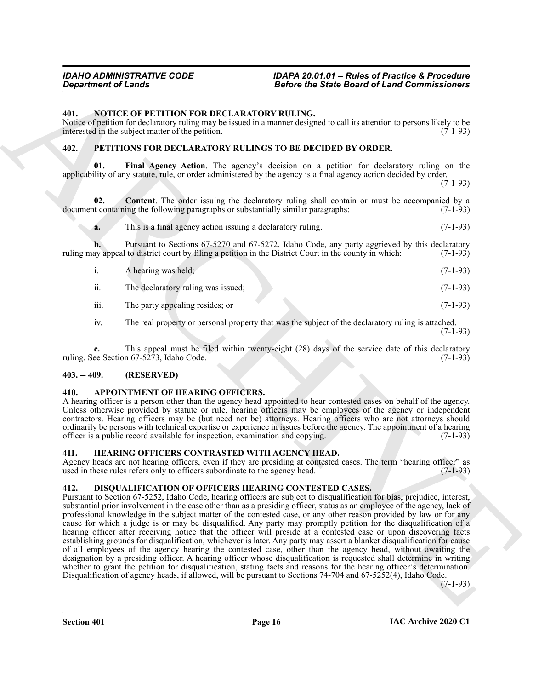#### <span id="page-15-9"></span><span id="page-15-0"></span>**401. NOTICE OF PETITION FOR DECLARATORY RULING.**

Notice of petition for declaratory ruling may be issued in a manner designed to call its attention to persons likely to be interested in the subject matter of the petition.  $(7-1-93)$ 

# <span id="page-15-12"></span><span id="page-15-10"></span><span id="page-15-1"></span>**402. PETITIONS FOR DECLARATORY RULINGS TO BE DECIDED BY ORDER.**

Final Agency Action. The agency's decision on a petition for declaratory ruling on the applicability of any statute, rule, or order administered by the agency is a final agency action decided by order. (7-1-93)

**02.** Content. The order issuing the declaratory ruling shall contain or must be accompanied by a at containing the following paragraphs or substantially similar paragraphs: (7-1-93) document containing the following paragraphs or substantially similar paragraphs:

<span id="page-15-11"></span>**a.** This is a final agency action issuing a declaratory ruling. (7-1-93)

**b.** Pursuant to Sections 67-5270 and 67-5272, Idaho Code, any party aggrieved by this declaratory ay appeal to district court by filing a petition in the District Court in the county in which: (7-1-93) ruling may appeal to district court by filing a petition in the District Court in the county in which:

i. A hearing was held; (7-1-93) ii. The declaratory ruling was issued; (7-1-93) iii. The party appealing resides; or (7-1-93)

iv. The real property or personal property that was the subject of the declaratory ruling is attached. (7-1-93)

**c.** This appeal must be filed within twenty-eight (28) days of the service date of this declaratory ee Section 67-5273, Idaho Code. (7-1-93) ruling. See Section 67-5273, Idaho Code.

#### <span id="page-15-2"></span>**403. -- 409. (RESERVED)**

#### <span id="page-15-6"></span><span id="page-15-3"></span>**410. APPOINTMENT OF HEARING OFFICERS.**

A hearing officer is a person other than the agency head appointed to hear contested cases on behalf of the agency. Unless otherwise provided by statute or rule, hearing officers may be employees of the agency or independent contractors. Hearing officers may be (but need not be) attorneys. Hearing officers who are not attorneys should ordinarily be persons with technical expertise or experience in issues before the agency. The appointment of a hearing officer is a public record available for inspection, examination and copying. (7-1-93)

# <span id="page-15-8"></span><span id="page-15-4"></span>**411. HEARING OFFICERS CONTRASTED WITH AGENCY HEAD.**

Agency heads are not hearing officers, even if they are presiding at contested cases. The term "hearing officer" as used in these rules refers only to officers subordinate to the agency head. (7-1-93)

# <span id="page-15-7"></span><span id="page-15-5"></span>**412. DISQUALIFICATION OF OFFICERS HEARING CONTESTED CASES.**

Geographical of Lendar<br>
Alefons the Since the Since Boston of Lendar Continues and the Since Boston of Lendar Schwarz<br>
Material of Alefons the Since Schwarz (Alefons Continues and the Continues and the Continues of Alefon Pursuant to Section 67-5252, Idaho Code, hearing officers are subject to disqualification for bias, prejudice, interest, substantial prior involvement in the case other than as a presiding officer, status as an employee of the agency, lack of professional knowledge in the subject matter of the contested case, or any other reason provided by law or for any cause for which a judge is or may be disqualified. Any party may promptly petition for the disqualification of a hearing officer after receiving notice that the officer will preside at a contested case or upon discovering facts establishing grounds for disqualification, whichever is later. Any party may assert a blanket disqualification for cause of all employees of the agency hearing the contested case, other than the agency head, without awaiting the designation by a presiding officer. A hearing officer whose disqualification is requested shall determine in writing whether to grant the petition for disqualification, stating facts and reasons for the hearing officer's determination. Disqualification of agency heads, if allowed, will be pursuant to Sections 74-704 and 67-5252(4), Idaho Code.

(7-1-93)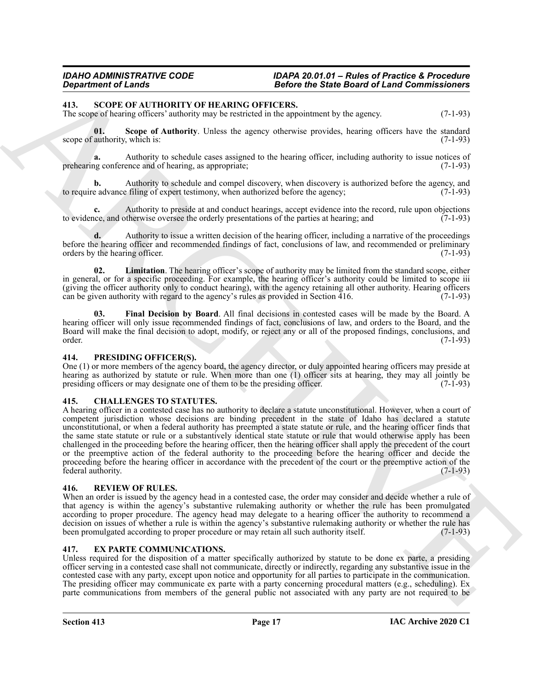#### <span id="page-16-10"></span><span id="page-16-0"></span>**413. SCOPE OF AUTHORITY OF HEARING OFFICERS.**

The scope of hearing officers' authority may be restricted in the appointment by the agency. (7-1-93)

<span id="page-16-9"></span>**01.** Scope of Authority. Unless the agency otherwise provides, hearing officers have the standard authority, which is: (7-1-93) scope of authority, which is:

**a.** Authority to schedule cases assigned to the hearing officer, including authority to issue notices of ng conference and of hearing, as appropriate: (7-1-93) prehearing conference and of hearing, as appropriate;

Authority to schedule and compel discovery, when discovery is authorized before the agency, and  $\text{filing of expert testimony, when authorized before the agency; } (7-1-93)$ to require advance filing of expert testimony, when authorized before the agency;

**c.** Authority to preside at and conduct hearings, accept evidence into the record, rule upon objections ince, and otherwise oversee the orderly presentations of the parties at hearing; and (7-1-93) to evidence, and otherwise oversee the orderly presentations of the parties at hearing; and

**d.** Authority to issue a written decision of the hearing officer, including a narrative of the proceedings before the hearing officer and recommended findings of fact, conclusions of law, and recommended or preliminary orders by the hearing officer. (7-1-93) orders by the hearing officer.

<span id="page-16-12"></span>**02. Limitation**. The hearing officer's scope of authority may be limited from the standard scope, either in general, or for a specific proceeding. For example, the hearing officer's authority could be limited to scope iii (giving the officer authority only to conduct hearing), with the agency retaining all other authority. Hearing officers can be given authority with regard to the agency's rules as provided in Section  $\overline{416}$ . (7-1-93)

<span id="page-16-11"></span>**03. Final Decision by Board**. All final decisions in contested cases will be made by the Board. A hearing officer will only issue recommended findings of fact, conclusions of law, and orders to the Board, and the Board will make the final decision to adopt, modify, or reject any or all of the proposed findings, conclusions, and order. (7-1-93)

#### <span id="page-16-7"></span><span id="page-16-1"></span>**414. PRESIDING OFFICER(S).**

One (1) or more members of the agency board, the agency director, or duly appointed hearing officers may preside at hearing as authorized by statute or rule. When more than one (1) officer sits at hearing, they may all jointly be presiding officers or may designate one of them to be the presiding officer. (7-1-93) presiding officers or may designate one of them to be the presiding officer.

# <span id="page-16-5"></span><span id="page-16-2"></span>**415. CHALLENGES TO STATUTES.**

**Since of Line 10.**<br>
The source of Line of the Since of the Since Based of Line Technical Research (1980) and the systems of the Since Paper Control of the Since Paper Control of the Since Paper Control of the Since Paper A hearing officer in a contested case has no authority to declare a statute unconstitutional. However, when a court of competent jurisdiction whose decisions are binding precedent in the state of Idaho has declared a statute unconstitutional, or when a federal authority has preempted a state statute or rule, and the hearing officer finds that the same state statute or rule or a substantively identical state statute or rule that would otherwise apply has been challenged in the proceeding before the hearing officer, then the hearing officer shall apply the precedent of the court or the preemptive action of the federal authority to the proceeding before the hearing officer and decide the proceeding before the hearing officer in accordance with the precedent of the court or the preemptive action of the federal authority. (7-1-93)

#### <span id="page-16-8"></span><span id="page-16-3"></span>**416. REVIEW OF RULES.**

When an order is issued by the agency head in a contested case, the order may consider and decide whether a rule of that agency is within the agency's substantive rulemaking authority or whether the rule has been promulgated according to proper procedure. The agency head may delegate to a hearing officer the authority to recommend a decision on issues of whether a rule is within the agency's substantive rulemaking authority or whether the rule has been promulgated according to proper procedure or may retain all such authority itself. (7-1-93) been promulgated according to proper procedure or may retain all such authority itself.

#### <span id="page-16-6"></span><span id="page-16-4"></span>**417. EX PARTE COMMUNICATIONS.**

Unless required for the disposition of a matter specifically authorized by statute to be done ex parte, a presiding officer serving in a contested case shall not communicate, directly or indirectly, regarding any substantive issue in the contested case with any party, except upon notice and opportunity for all parties to participate in the communication. The presiding officer may communicate ex parte with a party concerning procedural matters (e.g., scheduling). Ex parte communications from members of the general public not associated with any party are not required to be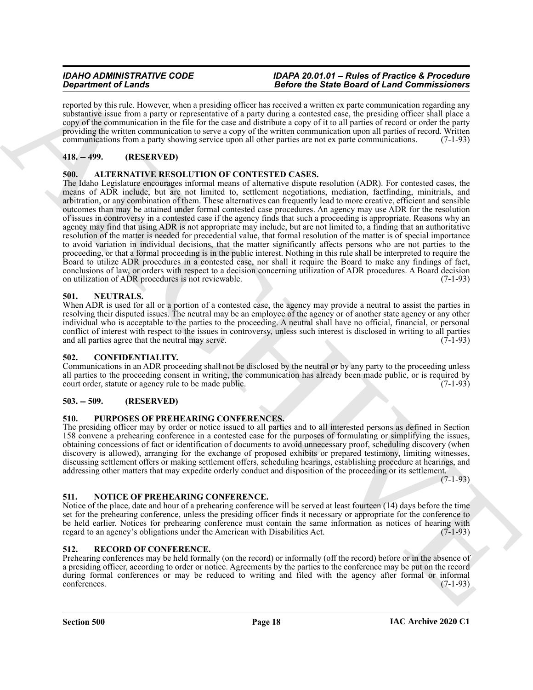reported by this rule. However, when a presiding officer has received a written ex parte communication regarding any substantive issue from a party or representative of a party during a contested case, the presiding officer shall place a copy of the communication in the file for the case and distribute a copy of it to all parties of record or order the party providing the written communication to serve a copy of the written communication upon all parties of record. Written communications from a party showing service upon all other parties are not ex parte communications. (7-1-93)

# <span id="page-17-0"></span>**418. -- 499. (RESERVED)**

# <span id="page-17-8"></span><span id="page-17-1"></span>**500. ALTERNATIVE RESOLUTION OF CONTESTED CASES.**

**Stationer of Linearistic terms** in the three control in the form of the Basic of Linear Commission in the three control in the two stations of the two stations of the two stations of the two stations of the two stations The Idaho Legislature encourages informal means of alternative dispute resolution (ADR). For contested cases, the means of ADR include, but are not limited to, settlement negotiations, mediation, factfinding, minitrials, and arbitration, or any combination of them. These alternatives can frequently lead to more creative, efficient and sensible outcomes than may be attained under formal contested case procedures. An agency may use ADR for the resolution of issues in controversy in a contested case if the agency finds that such a proceeding is appropriate. Reasons why an agency may find that using ADR is not appropriate may include, but are not limited to, a finding that an authoritative resolution of the matter is needed for precedential value, that formal resolution of the matter is of special importance to avoid variation in individual decisions, that the matter significantly affects persons who are not parties to the proceeding, or that a formal proceeding is in the public interest. Nothing in this rule shall be interpreted to require the Board to utilize ADR procedures in a contested case, nor shall it require the Board to make any findings of fact, conclusions of law, or orders with respect to a decision concerning utilization of ADR procedures. A Board decision on utilization of ADR procedures is not reviewable. (7-1-93)

# <span id="page-17-10"></span><span id="page-17-2"></span>**501. NEUTRALS.**

When ADR is used for all or a portion of a contested case, the agency may provide a neutral to assist the parties in resolving their disputed issues. The neutral may be an employee of the agency or of another state agency or any other individual who is acceptable to the parties to the proceeding. A neutral shall have no official, financial, or personal conflict of interest with respect to the issues in controversy, unless such interest is disclosed in writing to all parties and all parties agree that the neutral may serve. (7-1-93)

# <span id="page-17-9"></span><span id="page-17-3"></span>**502. CONFIDENTIALITY.**

Communications in an ADR proceeding shall not be disclosed by the neutral or by any party to the proceeding unless all parties to the proceeding consent in writing, the communication has already been made public, or is required by court order, statute or agency rule to be made public. (7-1-93) court order, statute or agency rule to be made public.

# <span id="page-17-4"></span>**503. -- 509. (RESERVED)**

# <span id="page-17-12"></span><span id="page-17-5"></span>**510. PURPOSES OF PREHEARING CONFERENCES.**

The presiding officer may by order or notice issued to all parties and to all interested persons as defined in Section 158 convene a prehearing conference in a contested case for the purposes of formulating or simplifying the issues, obtaining concessions of fact or identification of documents to avoid unnecessary proof, scheduling discovery (when discovery is allowed), arranging for the exchange of proposed exhibits or prepared testimony, limiting witnesses, discussing settlement offers or making settlement offers, scheduling hearings, establishing procedure at hearings, and addressing other matters that may expedite orderly conduct and disposition of the proceeding or its settlement.

(7-1-93)

# <span id="page-17-11"></span><span id="page-17-6"></span>**511. NOTICE OF PREHEARING CONFERENCE.**

Notice of the place, date and hour of a prehearing conference will be served at least fourteen (14) days before the time set for the prehearing conference, unless the presiding officer finds it necessary or appropriate for the conference to be held earlier. Notices for prehearing conference must contain the same information as notices of hearing with regard to an agency's obligations under the American with Disabilities Act. (7-1-93) regard to an agency's obligations under the American with Disabilities Act.

# <span id="page-17-13"></span><span id="page-17-7"></span>**512. RECORD OF CONFERENCE.**

Prehearing conferences may be held formally (on the record) or informally (off the record) before or in the absence of a presiding officer, according to order or notice. Agreements by the parties to the conference may be put on the record during formal conferences or may be reduced to writing and filed with the agency after formal or informal conferences. (7-1-93) conferences. (7-1-93)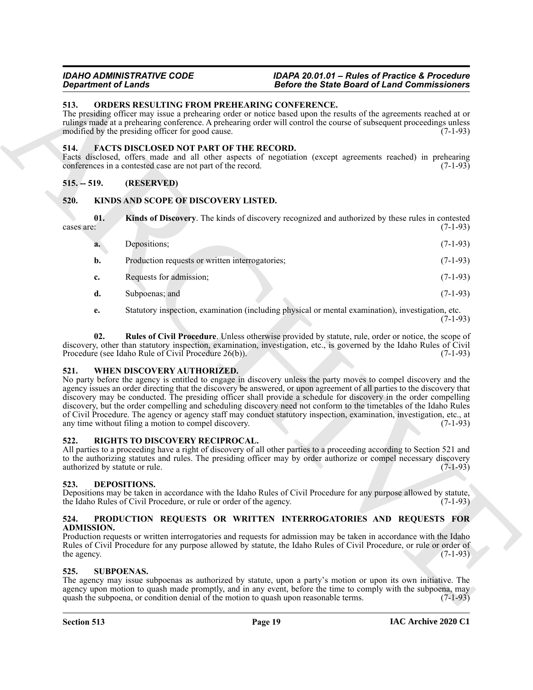### <span id="page-18-14"></span><span id="page-18-0"></span>**513. ORDERS RESULTING FROM PREHEARING CONFERENCE.**

#### <span id="page-18-10"></span><span id="page-18-1"></span>**514. FACTS DISCLOSED NOT PART OF THE RECORD.**

# <span id="page-18-2"></span>**515. -- 519. (RESERVED)**

# <span id="page-18-12"></span><span id="page-18-11"></span><span id="page-18-3"></span>**520. KINDS AND SCOPE OF DISCOVERY LISTED.**

| <b>Department of Lands</b>                                                                                                                                                                                                                                                                                                                                             |                                                                                                                                                                                                                                                                                                                                                                                                                                                                                                                                                                                                                                                                                                       | <b>Before the State Board of Land Commissioners</b>                                                 |            |  |
|------------------------------------------------------------------------------------------------------------------------------------------------------------------------------------------------------------------------------------------------------------------------------------------------------------------------------------------------------------------------|-------------------------------------------------------------------------------------------------------------------------------------------------------------------------------------------------------------------------------------------------------------------------------------------------------------------------------------------------------------------------------------------------------------------------------------------------------------------------------------------------------------------------------------------------------------------------------------------------------------------------------------------------------------------------------------------------------|-----------------------------------------------------------------------------------------------------|------------|--|
| 513.<br>ORDERS RESULTING FROM PREHEARING CONFERENCE.<br>The presiding officer may issue a prehearing order or notice based upon the results of the agreements reached at or<br>rulings made at a prehearing conference. A prehearing order will control the course of subsequent proceedings unless<br>modified by the presiding officer for good cause.<br>$(7-1-93)$ |                                                                                                                                                                                                                                                                                                                                                                                                                                                                                                                                                                                                                                                                                                       |                                                                                                     |            |  |
| 514.                                                                                                                                                                                                                                                                                                                                                                   | <b>FACTS DISCLOSED NOT PART OF THE RECORD.</b><br>Facts disclosed, offers made and all other aspects of negotiation (except agreements reached) in prehearing<br>conferences in a contested case are not part of the record.                                                                                                                                                                                                                                                                                                                                                                                                                                                                          |                                                                                                     | $(7-1-93)$ |  |
| $515. - 519.$                                                                                                                                                                                                                                                                                                                                                          | (RESERVED)                                                                                                                                                                                                                                                                                                                                                                                                                                                                                                                                                                                                                                                                                            |                                                                                                     |            |  |
| 520.                                                                                                                                                                                                                                                                                                                                                                   | KINDS AND SCOPE OF DISCOVERY LISTED.                                                                                                                                                                                                                                                                                                                                                                                                                                                                                                                                                                                                                                                                  |                                                                                                     |            |  |
| 01.<br>cases are:                                                                                                                                                                                                                                                                                                                                                      |                                                                                                                                                                                                                                                                                                                                                                                                                                                                                                                                                                                                                                                                                                       | Kinds of Discovery. The kinds of discovery recognized and authorized by these rules in contested    | $(7-1-93)$ |  |
| a.                                                                                                                                                                                                                                                                                                                                                                     | Depositions;                                                                                                                                                                                                                                                                                                                                                                                                                                                                                                                                                                                                                                                                                          |                                                                                                     | $(7-1-93)$ |  |
| b.                                                                                                                                                                                                                                                                                                                                                                     | Production requests or written interrogatories;                                                                                                                                                                                                                                                                                                                                                                                                                                                                                                                                                                                                                                                       |                                                                                                     | $(7-1-93)$ |  |
| c.                                                                                                                                                                                                                                                                                                                                                                     | Requests for admission;                                                                                                                                                                                                                                                                                                                                                                                                                                                                                                                                                                                                                                                                               |                                                                                                     | $(7-1-93)$ |  |
| d.                                                                                                                                                                                                                                                                                                                                                                     | Subpoenas; and                                                                                                                                                                                                                                                                                                                                                                                                                                                                                                                                                                                                                                                                                        |                                                                                                     | $(7-1-93)$ |  |
| e.                                                                                                                                                                                                                                                                                                                                                                     |                                                                                                                                                                                                                                                                                                                                                                                                                                                                                                                                                                                                                                                                                                       | Statutory inspection, examination (including physical or mental examination), investigation, etc.   | $(7-1-93)$ |  |
| 02.                                                                                                                                                                                                                                                                                                                                                                    | discovery, other than statutory inspection, examination, investigation, etc., is governed by the Idaho Rules of Civil<br>Procedure (see Idaho Rule of Civil Procedure 26(b)).                                                                                                                                                                                                                                                                                                                                                                                                                                                                                                                         | Rules of Civil Procedure. Unless otherwise provided by statute, rule, order or notice, the scope of | $(7-1-93)$ |  |
| 521.                                                                                                                                                                                                                                                                                                                                                                   | WHEN DISCOVERY AUTHORIZED.<br>No party before the agency is entitled to engage in discovery unless the party moves to compel discovery and the<br>agency issues an order directing that the discovery be answered, or upon agreement of all parties to the discovery that<br>discovery may be conducted. The presiding officer shall provide a schedule for discovery in the order compelling<br>discovery, but the order compelling and scheduling discovery need not conform to the timetables of the Idaho Rules<br>of Civil Procedure. The agency or agency staff may conduct statutory inspection, examination, investigation, etc., at<br>any time without filing a motion to compel discovery. |                                                                                                     | $(7-1-93)$ |  |
| 522.                                                                                                                                                                                                                                                                                                                                                                   | RIGHTS TO DISCOVERY RECIPROCAL.<br>All parties to a proceeding have a right of discovery of all other parties to a proceeding according to Section 521 and<br>to the authorizing statutes and rules. The presiding officer may by order authorize or compel necessary discovery<br>authorized by statute or rule.                                                                                                                                                                                                                                                                                                                                                                                     |                                                                                                     | $(7-1-93)$ |  |
| 523.                                                                                                                                                                                                                                                                                                                                                                   | DEPOSITIONS.<br>Depositions may be taken in accordance with the Idaho Rules of Civil Procedure for any purpose allowed by statute,<br>the Idaho Rules of Civil Procedure, or rule or order of the agency.                                                                                                                                                                                                                                                                                                                                                                                                                                                                                             |                                                                                                     | $(7-1-93)$ |  |
| 524.<br><b>ADMISSION.</b><br>the agency.                                                                                                                                                                                                                                                                                                                               | PRODUCTION REQUESTS OR WRITTEN INTERROGATORIES AND REQUESTS FOR<br>Production requests or written interrogatories and requests for admission may be taken in accordance with the Idaho<br>Rules of Civil Procedure for any purpose allowed by statute, the Idaho Rules of Civil Procedure, or rule or order of                                                                                                                                                                                                                                                                                                                                                                                        |                                                                                                     | $(7-1-93)$ |  |
| 525.                                                                                                                                                                                                                                                                                                                                                                   | <b>SUBPOENAS.</b><br>The agency may issue subpoenas as authorized by statute, upon a party's motion or upon its own initiative. The<br>agency upon motion to quash made promptly, and in any event, before the time to comply with the subpoena, may<br>quash the subpoena, or condition denial of the motion to quash upon reasonable terms.                                                                                                                                                                                                                                                                                                                                                         |                                                                                                     | $(7-1-93)$ |  |
|                                                                                                                                                                                                                                                                                                                                                                        |                                                                                                                                                                                                                                                                                                                                                                                                                                                                                                                                                                                                                                                                                                       |                                                                                                     |            |  |

# <span id="page-18-18"></span><span id="page-18-13"></span><span id="page-18-4"></span>**521. WHEN DISCOVERY AUTHORIZED.**

# <span id="page-18-16"></span><span id="page-18-5"></span>**522. RIGHTS TO DISCOVERY RECIPROCAL.**

# <span id="page-18-9"></span><span id="page-18-6"></span>**523. DEPOSITIONS.**

#### <span id="page-18-15"></span><span id="page-18-7"></span>**524. PRODUCTION REQUESTS OR WRITTEN INTERROGATORIES AND REQUESTS FOR ADMISSION.**

# <span id="page-18-17"></span><span id="page-18-8"></span>**525. SUBPOENAS.**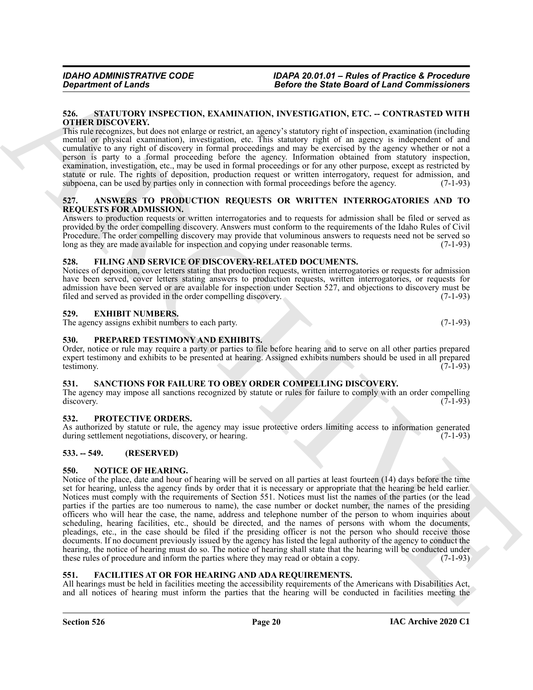#### <span id="page-19-18"></span><span id="page-19-0"></span>**526. STATUTORY INSPECTION, EXAMINATION, INVESTIGATION, ETC. -- CONTRASTED WITH OTHER DISCOVERY.**

This rule recognizes, but does not enlarge or restrict, an agency's statutory right of inspection, examination (including mental or physical examination), investigation, etc. This statutory right of an agency is independent of and cumulative to any right of discovery in formal proceedings and may be exercised by the agency whether or not a person is party to a formal proceeding before the agency. Information obtained from statutory inspection, examination, investigation, etc., may be used in formal proceedings or for any other purpose, except as restricted by statute or rule. The rights of deposition, production request or written interrogatory, request for admission, and subpoena, can be used by parties only in connection with formal proceedings before the agency. (7-1-93)

#### <span id="page-19-10"></span><span id="page-19-1"></span>**527. ANSWERS TO PRODUCTION REQUESTS OR WRITTEN INTERROGATORIES AND TO REQUESTS FOR ADMISSION.**

Answers to production requests or written interrogatories and to requests for admission shall be filed or served as provided by the order compelling discovery. Answers must conform to the requirements of the Idaho Rules of Civil Procedure. The order compelling discovery may provide that voluminous answers to requests need not be served so long as they are made available for inspection and copying under reasonable terms. (7-1-93) long as they are made available for inspection and copying under reasonable terms.

# <span id="page-19-13"></span><span id="page-19-2"></span>**528. FILING AND SERVICE OF DISCOVERY-RELATED DOCUMENTS.**

Notices of deposition, cover letters stating that production requests, written interrogatories or requests for admission have been served, cover letters stating answers to production requests, written interrogatories, or requests for admission have been served or are available for inspection under Section 527, and objections to discovery must be filed and served as provided in the order compelling discovery. (7-1-93) filed and served as provided in the order compelling discovery.

# <span id="page-19-11"></span><span id="page-19-3"></span>**529. EXHIBIT NUMBERS.**

The agency assigns exhibit numbers to each party. (7-1-93)

# <span id="page-19-15"></span><span id="page-19-4"></span>**530. PREPARED TESTIMONY AND EXHIBITS.**

Order, notice or rule may require a party or parties to file before hearing and to serve on all other parties prepared expert testimony and exhibits to be presented at hearing. Assigned exhibits numbers should be used in all prepared testimony. (7-1-93) testimony. (7-1-93)

# <span id="page-19-17"></span><span id="page-19-5"></span>**531. SANCTIONS FOR FAILURE TO OBEY ORDER COMPELLING DISCOVERY.**

The agency may impose all sanctions recognized by statute or rules for failure to comply with an order compelling discovery. (7-1-93) discovery. (7-1-93)

# <span id="page-19-16"></span><span id="page-19-6"></span>**532. PROTECTIVE ORDERS.**

As authorized by statute or rule, the agency may issue protective orders limiting access to information generated during settlement negotiations, discovery, or hearing. (7-1-93) (7-1-93)

# <span id="page-19-7"></span>**533. -- 549. (RESERVED)**

# <span id="page-19-14"></span><span id="page-19-8"></span>**550. NOTICE OF HEARING.**

General of Lenda<br>
State the State Construction Constraint in the State Board of Lenda Constraints and<br>
State of Marchives (Novel 2018) and the State Constraints and the State Constraints and the State Constraints are<br>
The Notice of the place, date and hour of hearing will be served on all parties at least fourteen (14) days before the time set for hearing, unless the agency finds by order that it is necessary or appropriate that the hearing be held earlier. Notices must comply with the requirements of Section 551. Notices must list the names of the parties (or the lead parties if the parties are too numerous to name), the case number or docket number, the names of the presiding officers who will hear the case, the name, address and telephone number of the person to whom inquiries about scheduling, hearing facilities, etc., should be directed, and the names of persons with whom the documents, pleadings, etc., in the case should be filed if the presiding officer is not the person who should receive those documents. If no document previously issued by the agency has listed the legal authority of the agency to conduct the hearing, the notice of hearing must do so. The notice of hearing shall state that the hearing will be conducted under these rules of procedure and inform the parties where they may read or obtain a copy. (7-1-93)

# <span id="page-19-12"></span><span id="page-19-9"></span>**551. FACILITIES AT OR FOR HEARING AND ADA REQUIREMENTS.**

All hearings must be held in facilities meeting the accessibility requirements of the Americans with Disabilities Act, and all notices of hearing must inform the parties that the hearing will be conducted in facilities meeting the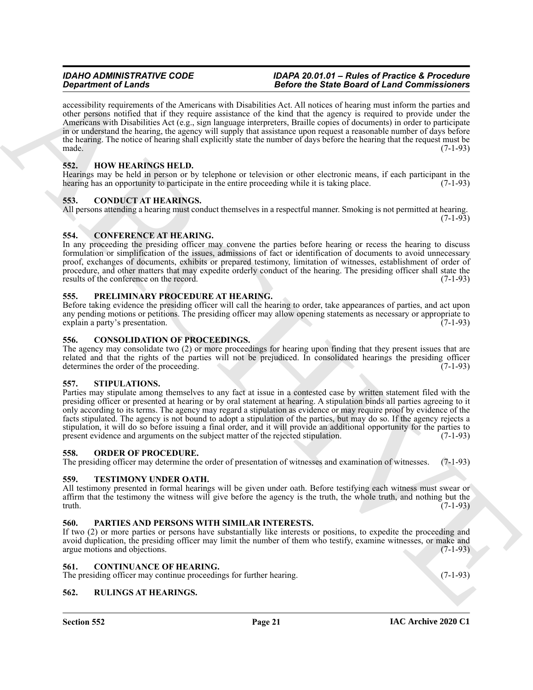*Gradrian of Lemans*<br> **Gradrian are the American and Decision Architects Constrained Constrained Constrained Constrained Constrained Constrained Constrained Constrained Constrained Constrained Constrained Constrained Co** accessibility requirements of the Americans with Disabilities Act. All notices of hearing must inform the parties and other persons notified that if they require assistance of the kind that the agency is required to provide under the Americans with Disabilities Act (e.g., sign language interpreters, Braille copies of documents) in order to participate in or understand the hearing, the agency will supply that assistance upon request a reasonable number of days before the hearing. The notice of hearing shall explicitly state the number of days before the hearing that the request must be made.  $(7-1-93)$ 

# <span id="page-20-15"></span><span id="page-20-0"></span>**552. HOW HEARINGS HELD.**

Hearings may be held in person or by telephone or television or other electronic means, if each participant in the hearing has an opportunity to participate in the entire proceeding while it is taking place. (7-1-93)

# <span id="page-20-11"></span><span id="page-20-1"></span>**553. CONDUCT AT HEARINGS.**

All persons attending a hearing must conduct themselves in a respectful manner. Smoking is not permitted at hearing.  $(7-1-93)$ 

# <span id="page-20-12"></span><span id="page-20-2"></span>**554. CONFERENCE AT HEARING.**

In any proceeding the presiding officer may convene the parties before hearing or recess the hearing to discuss formulation or simplification of the issues, admissions of fact or identification of documents to avoid unnecessary proof, exchanges of documents, exhibits or prepared testimony, limitation of witnesses, establishment of order of procedure, and other matters that may expedite orderly conduct of the hearing. The presiding officer shall state the results of the conference on the record. (7-1-93)

#### <span id="page-20-18"></span><span id="page-20-3"></span>**555. PRELIMINARY PROCEDURE AT HEARING.**

Before taking evidence the presiding officer will call the hearing to order, take appearances of parties, and act upon any pending motions or petitions. The presiding officer may allow opening statements as necessary or appropriate to explain a party's presentation. (7-1-93)

### <span id="page-20-13"></span><span id="page-20-4"></span>**556. CONSOLIDATION OF PROCEEDINGS.**

The agency may consolidate two (2) or more proceedings for hearing upon finding that they present issues that are related and that the rights of the parties will not be prejudiced. In consolidated hearings the presiding officer determines the order of the proceeding. (7-1-93) determines the order of the proceeding.

# <span id="page-20-20"></span><span id="page-20-5"></span>**557. STIPULATIONS.**

Parties may stipulate among themselves to any fact at issue in a contested case by written statement filed with the presiding officer or presented at hearing or by oral statement at hearing. A stipulation binds all parties agreeing to it only according to its terms. The agency may regard a stipulation as evidence or may require proof by evidence of the facts stipulated. The agency is not bound to adopt a stipulation of the parties, but may do so. If the agency rejects a stipulation, it will do so before issuing a final order, and it will provide an additional opportunity for the parties to present evidence and arguments on the subject matter of the rejected stipulation. (7-1-93)

# <span id="page-20-16"></span><span id="page-20-6"></span>**558. ORDER OF PROCEDURE.**

The presiding officer may determine the order of presentation of witnesses and examination of witnesses. (7-1-93)

# <span id="page-20-21"></span><span id="page-20-7"></span>**559. TESTIMONY UNDER OATH.**

All testimony presented in formal hearings will be given under oath. Before testifying each witness must swear or affirm that the testimony the witness will give before the agency is the truth, the whole truth, and nothing but the truth.  $(7-1-93)$ 

# <span id="page-20-17"></span><span id="page-20-8"></span>**560. PARTIES AND PERSONS WITH SIMILAR INTERESTS.**

If two (2) or more parties or persons have substantially like interests or positions, to expedite the proceeding and avoid duplication, the presiding officer may limit the number of them who testify, examine witnesses, or make and argue motions and objections. (7-1-93)

#### <span id="page-20-14"></span><span id="page-20-9"></span>**561. CONTINUANCE OF HEARING.**

The presiding officer may continue proceedings for further hearing. (7-1-93)

# <span id="page-20-19"></span><span id="page-20-10"></span>**562. RULINGS AT HEARINGS.**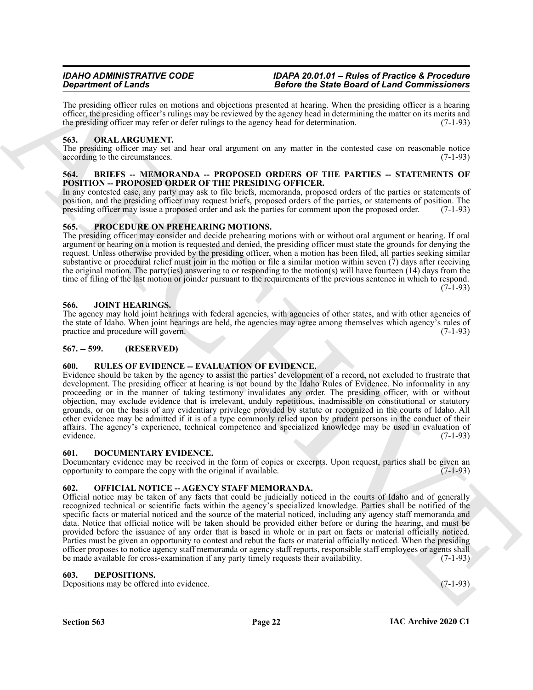The presiding officer rules on motions and objections presented at hearing. When the presiding officer is a hearing officer, the presiding officer's rulings may be reviewed by the agency head in determining the matter on its merits and the presiding officer may refer or defer rulings to the agency head for determination. (7-1-93)

### <span id="page-21-14"></span><span id="page-21-0"></span>**563. ORAL ARGUMENT.**

The presiding officer may set and hear oral argument on any matter in the contested case on reasonable notice according to the circumstances. (7-1-93) according to the circumstances.

#### <span id="page-21-9"></span><span id="page-21-1"></span>**564. BRIEFS -- MEMORANDA -- PROPOSED ORDERS OF THE PARTIES -- STATEMENTS OF POSITION -- PROPOSED ORDER OF THE PRESIDING OFFICER.**

In any contested case, any party may ask to file briefs, memoranda, proposed orders of the parties or statements of position, and the presiding officer may request briefs, proposed orders of the parties, or statements of position. The presiding officer may issue a proposed order and ask the parties for comment upon the proposed order. ( presiding officer may issue a proposed order and ask the parties for comment upon the proposed order.

#### <span id="page-21-15"></span><span id="page-21-2"></span>**565. PROCEDURE ON PREHEARING MOTIONS.**

The presiding officer may consider and decide prehearing motions with or without oral argument or hearing. If oral argument or hearing on a motion is requested and denied, the presiding officer must state the grounds for denying the request. Unless otherwise provided by the presiding officer, when a motion has been filed, all parties seeking similar substantive or procedural relief must join in the motion or file a similar motion within seven (7) days after receiving the original motion. The party(ies) answering to or responding to the motion(s) will have fourteen (14) days from the time of filing of the last motion or joinder pursuant to the requirements of the previous sentence in which to respond.  $(7-1-93)$ 

#### <span id="page-21-12"></span><span id="page-21-3"></span>**566. JOINT HEARINGS.**

The agency may hold joint hearings with federal agencies, with agencies of other states, and with other agencies of the state of Idaho. When joint hearings are held, the agencies may agree among themselves which agency's rules of practice and procedure will govern. (7-1-93) practice and procedure will govern.

### <span id="page-21-4"></span>**567. -- 599. (RESERVED)**

# <span id="page-21-16"></span><span id="page-21-5"></span>**600. RULES OF EVIDENCE -- EVALUATION OF EVIDENCE.**

Evidence should be taken by the agency to assist the parties' development of a record, not excluded to frustrate that development. The presiding officer at hearing is not bound by the Idaho Rules of Evidence. No informality in any proceeding or in the manner of taking testimony invalidates any order. The presiding officer, with or without objection, may exclude evidence that is irrelevant, unduly repetitious, inadmissible on constitutional or statutory grounds, or on the basis of any evidentiary privilege provided by statute or recognized in the courts of Idaho. All other evidence may be admitted if it is of a type commonly relied upon by prudent persons in the conduct of their affairs. The agency's experience, technical competence and specialized knowledge may be used in evaluation of evidence. (7-1-93)

#### <span id="page-21-11"></span><span id="page-21-6"></span>**601. DOCUMENTARY EVIDENCE.**

Documentary evidence may be received in the form of copies or excerpts. Upon request, parties shall be given an opportunity to compare the copy with the original if available. (7-1-93)

# <span id="page-21-13"></span><span id="page-21-7"></span>**602. OFFICIAL NOTICE -- AGENCY STAFF MEMORANDA.**

**Stationer of Line and Stationer Proposition Procedure Constrainers (b) and the Boston Stationer Constrainers (b) and the stationer of Line and Stationers (b) and the stationers (b) and the stationers (b) and the statione** Official notice may be taken of any facts that could be judicially noticed in the courts of Idaho and of generally recognized technical or scientific facts within the agency's specialized knowledge. Parties shall be notified of the specific facts or material noticed and the source of the material noticed, including any agency staff memoranda and data. Notice that official notice will be taken should be provided either before or during the hearing, and must be provided before the issuance of any order that is based in whole or in part on facts or material officially noticed. Parties must be given an opportunity to contest and rebut the facts or material officially noticed. When the presiding officer proposes to notice agency staff memoranda or agency staff reports, responsible staff employees or agents shall be made available for cross-examination if any party timely requests their availability. (7-1-93)

#### <span id="page-21-10"></span><span id="page-21-8"></span>**603. DEPOSITIONS.**

Depositions may be offered into evidence. (7-1-93)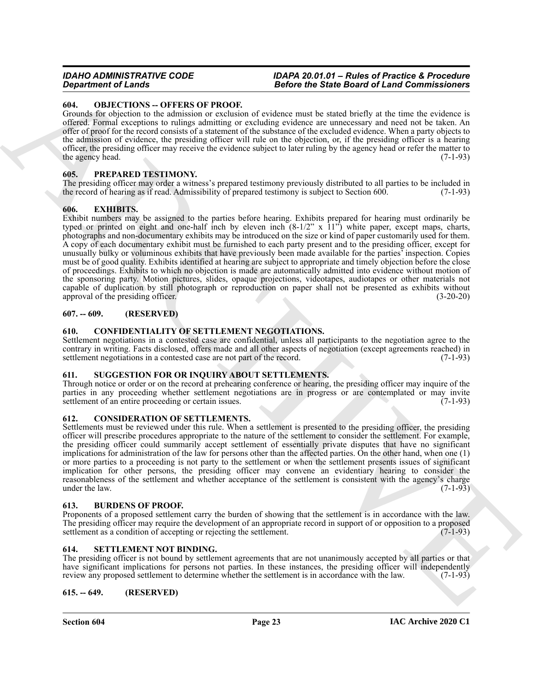#### <span id="page-22-14"></span><span id="page-22-0"></span>**604. OBJECTIONS -- OFFERS OF PROOF.**

Grounds for objection to the admission or exclusion of evidence must be stated briefly at the time the evidence is offered. Formal exceptions to rulings admitting or excluding evidence are unnecessary and need not be taken. An offer of proof for the record consists of a statement of the substance of the excluded evidence. When a party objects to the admission of evidence, the presiding officer will rule on the objection, or, if the presiding officer is a hearing officer, the presiding officer may receive the evidence subject to later ruling by the agency head or refer the matter to the agency head.

#### <span id="page-22-15"></span><span id="page-22-1"></span>**605. PREPARED TESTIMONY.**

The presiding officer may order a witness's prepared testimony previously distributed to all parties to be included in the record of hearing as if read. Admissibility of prepared testimony is subject to Section 600. (7-1-93)

#### <span id="page-22-13"></span><span id="page-22-2"></span>**606. EXHIBITS.**

**Experiment of Law Solutions 1. Each of the Solution of Sink Board of Law Experiment of Law Solutions 1.**<br>
Counts are the specific of the sink of the specific of relations and the specific of the sink of the sink of the Exhibit numbers may be assigned to the parties before hearing. Exhibits prepared for hearing must ordinarily be typed or printed on eight and one-half inch by eleven inch (8-1/2" x 11") white paper, except maps, charts, photographs and non-documentary exhibits may be introduced on the size or kind of paper customarily used for them. A copy of each documentary exhibit must be furnished to each party present and to the presiding officer, except for unusually bulky or voluminous exhibits that have previously been made available for the parties' inspection. Copies must be of good quality. Exhibits identified at hearing are subject to appropriate and timely objection before the close of proceedings. Exhibits to which no objection is made are automatically admitted into evidence without motion of the sponsoring party. Motion pictures, slides, opaque projections, videotapes, audiotapes or other materials not capable of duplication by still photograph or reproduction on paper shall not be presented as exhibits without approval of the presiding officer. (3-20-20) approval of the presiding officer.

#### <span id="page-22-3"></span>**607. -- 609. (RESERVED)**

#### <span id="page-22-11"></span><span id="page-22-4"></span>**610. CONFIDENTIALITY OF SETTLEMENT NEGOTIATIONS.**

Settlement negotiations in a contested case are confidential, unless all participants to the negotiation agree to the contrary in writing. Facts disclosed, offers made and all other aspects of negotiation (except agreements reached) in settlement negotiations in a contested case are not part of the record.  $(7-1-93)$ 

#### <span id="page-22-17"></span><span id="page-22-5"></span>**611. SUGGESTION FOR OR INQUIRY ABOUT SETTLEMENTS.**

Through notice or order or on the record at prehearing conference or hearing, the presiding officer may inquire of the parties in any proceeding whether settlement negotiations are in progress or are contemplated or may invite settlement of an entire proceeding or certain issues. (7-1-93) settlement of an entire proceeding or certain issues.

#### <span id="page-22-12"></span><span id="page-22-6"></span>**612. CONSIDERATION OF SETTLEMENTS.**

Settlements must be reviewed under this rule. When a settlement is presented to the presiding officer, the presiding officer will prescribe procedures appropriate to the nature of the settlement to consider the settlement. For example, the presiding officer could summarily accept settlement of essentially private disputes that have no significant implications for administration of the law for persons other than the affected parties. On the other hand, when one (1) or more parties to a proceeding is not party to the settlement or when the settlement presents issues of significant implication for other persons, the presiding officer may convene an evidentiary hearing to consider the reasonableness of the settlement and whether acceptance of the settlement is consistent with the agency's charge<br>under the law. (7-1-93) under the law.

#### <span id="page-22-10"></span><span id="page-22-7"></span>**613. BURDENS OF PROOF.**

Proponents of a proposed settlement carry the burden of showing that the settlement is in accordance with the law. The presiding officer may require the development of an appropriate record in support of or opposition to a proposed settlement as a condition of accepting or rejecting the settlement. (7-1-93) settlement as a condition of accepting or rejecting the settlement.

#### <span id="page-22-16"></span><span id="page-22-8"></span>**614. SETTLEMENT NOT BINDING.**

The presiding officer is not bound by settlement agreements that are not unanimously accepted by all parties or that have significant implications for persons not parties. In these instances, the presiding officer will independently review any proposed settlement to determine whether the settlement is in accordance with the law. (7-1-93) review any proposed settlement to determine whether the settlement is in accordance with the law.

#### <span id="page-22-9"></span>**615. -- 649. (RESERVED)**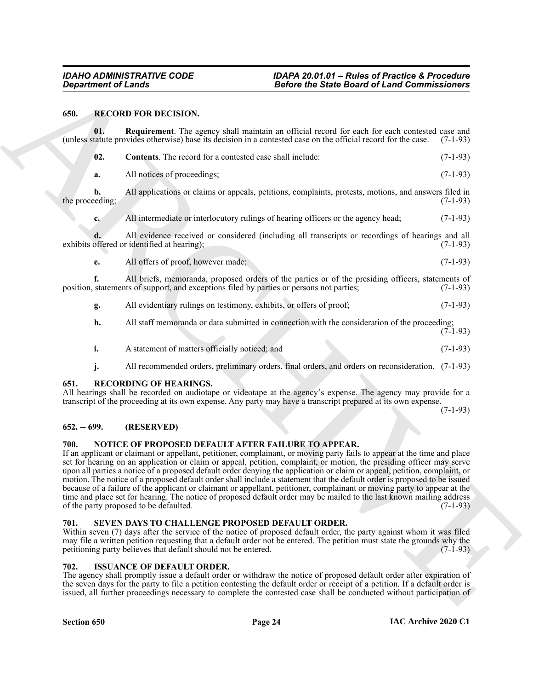# <span id="page-23-10"></span><span id="page-23-9"></span><span id="page-23-8"></span><span id="page-23-0"></span>**650. RECORD FOR DECISION.**

Gross from the COOR DV CCISON.<br>
BEFORE THE SERVE IN the COOR CONTINUES INTO the Control of the Coordinate Coordinate Coordinate Coordinate Coordinate Coordinate Coordinate Coordinate Coordinate Coordinate Coordinate Coord **01.** Requirement. The agency shall maintain an official record for each for each contested case and tatute provides otherwise) base its decision in a contested case on the official record for the case. (7-1-93) (unless statute provides otherwise) base its decision in a contested case on the official record for the case. (7-1-93) **02. Contents**. The record for a contested case shall include: (7-1-93) **a.** All notices of proceedings; (7-1-93) **b.** All applications or claims or appeals, petitions, complaints, protests, motions, and answers filed in eaching; (7-1-93) the proceeding; **c.** All intermediate or interlocutory rulings of hearing officers or the agency head; (7-1-93) **d.** All evidence received or considered (including all transcripts or recordings of hearings and all offered or identified at hearing); (7-1-93) exhibits offered or identified at hearing); **e.** All offers of proof, however made; (7-1-93) **f.** All briefs, memoranda, proposed orders of the parties or of the presiding officers, statements of statements of support, and exceptions filed by parties or persons not parties; (7-1-93) position, statements of support, and exceptions filed by parties or persons not parties; **g.** All evidentiary rulings on testimony, exhibits, or offers of proof; (7-1-93) **h.** All staff memoranda or data submitted in connection with the consideration of the proceeding;  $(7-1-93)$ **i.** A statement of matters officially noticed; and (7-1-93) **j.** All recommended orders, preliminary orders, final orders, and orders on reconsideration. (7-1-93) **651. RECORDING OF HEARINGS.**

<span id="page-23-11"></span><span id="page-23-1"></span>All hearings shall be recorded on audiotape or videotape at the agency's expense. The agency may provide for a transcript of the proceeding at its own expense. Any party may have a transcript prepared at its own expense.

(7-1-93)

# <span id="page-23-2"></span>**652. -- 699. (RESERVED)**

# <span id="page-23-7"></span><span id="page-23-3"></span>**700. NOTICE OF PROPOSED DEFAULT AFTER FAILURE TO APPEAR.**

If an applicant or claimant or appellant, petitioner, complainant, or moving party fails to appear at the time and place set for hearing on an application or claim or appeal, petition, complaint, or motion, the presiding officer may serve upon all parties a notice of a proposed default order denying the application or claim or appeal, petition, complaint, or motion. The notice of a proposed default order shall include a statement that the default order is proposed to be issued because of a failure of the applicant or claimant or appellant, petitioner, complainant or moving party to appear at the time and place set for hearing. The notice of proposed default order may be mailed to the last known mailing address of the party proposed to be defaulted. (7-1-93)

# <span id="page-23-12"></span><span id="page-23-4"></span>**701. SEVEN DAYS TO CHALLENGE PROPOSED DEFAULT ORDER.**

Within seven (7) days after the service of the notice of proposed default order, the party against whom it was filed may file a written petition requesting that a default order not be entered. The petition must state the grounds why the petitioning party believes that default should not be entered. (7-1-93)

# <span id="page-23-6"></span><span id="page-23-5"></span>**702. ISSUANCE OF DEFAULT ORDER.**

The agency shall promptly issue a default order or withdraw the notice of proposed default order after expiration of the seven days for the party to file a petition contesting the default order or receipt of a petition. If a default order is issued, all further proceedings necessary to complete the contested case shall be conducted without participation of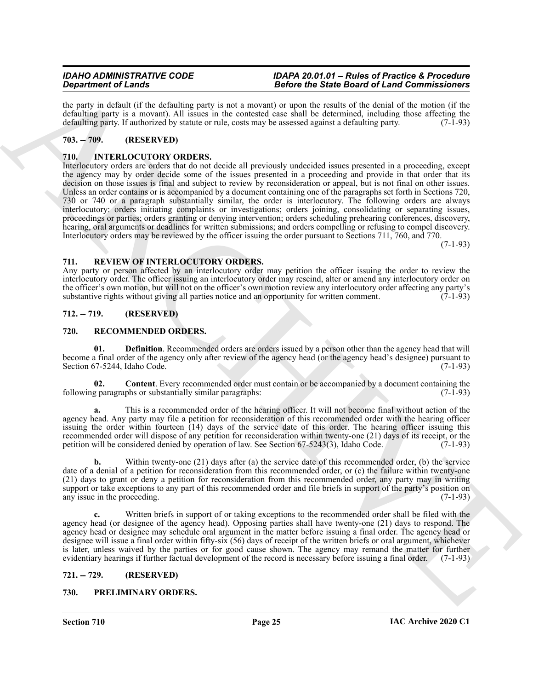the party in default (if the defaulting party is not a movant) or upon the results of the denial of the motion (if the defaulting party is a movant). All issues in the contested case shall be determined, including those affecting the defaulting party. If authorized by statute or rule, costs may be assessed against a defaulting party. (7-1defaulting party. If authorized by statute or rule, costs may be assessed against a defaulting party.

# <span id="page-24-0"></span>**703. -- 709. (RESERVED)**

# <span id="page-24-7"></span><span id="page-24-1"></span>**710. INTERLOCUTORY ORDERS.**

**Specific of Language and School in the Color Control of Language and School School School School School School School School School School School School School School School School School School School School School Scho** Interlocutory orders are orders that do not decide all previously undecided issues presented in a proceeding, except the agency may by order decide some of the issues presented in a proceeding and provide in that order that its decision on those issues is final and subject to review by reconsideration or appeal, but is not final on other issues. Unless an order contains or is accompanied by a document containing one of the paragraphs set forth in Sections 720, 730 or 740 or a paragraph substantially similar, the order is interlocutory. The following orders are always interlocutory: orders initiating complaints or investigations; orders joining, consolidating or separating issues, proceedings or parties; orders granting or denying intervention; orders scheduling prehearing conferences, discovery, hearing, oral arguments or deadlines for written submissions; and orders compelling or refusing to compel discovery. Interlocutory orders may be reviewed by the officer issuing the order pursuant to Sections 711, 760, and 770.

(7-1-93)

#### <span id="page-24-12"></span><span id="page-24-2"></span>**711. REVIEW OF INTERLOCUTORY ORDERS.**

Any party or person affected by an interlocutory order may petition the officer issuing the order to review the interlocutory order. The officer issuing an interlocutory order may rescind, alter or amend any interlocutory order on the officer's own motion, but will not on the officer's own motion review any interlocutory order affecting any party's substantive rights without giving all parties notice and an opportunity for written comment. (7-1-93) substantive rights without giving all parties notice and an opportunity for written comment.

#### <span id="page-24-3"></span>**712. -- 719. (RESERVED)**

#### <span id="page-24-9"></span><span id="page-24-4"></span>**720. RECOMMENDED ORDERS.**

<span id="page-24-11"></span>**01. Definition**. Recommended orders are orders issued by a person other than the agency head that will become a final order of the agency only after review of the agency head (or the agency head's designee) pursuant to Section 67-5244, Idaho Code. (7-1-93)

<span id="page-24-10"></span>**02. Content**. Every recommended order must contain or be accompanied by a document containing the following paragraphs or substantially similar paragraphs: (7-1-93)

**a.** This is a recommended order of the hearing officer. It will not become final without action of the agency head. Any party may file a petition for reconsideration of this recommended order with the hearing officer issuing the order within fourteen (14) days of the service date of this order. The hearing officer issuing this recommended order will dispose of any petition for reconsideration within twenty-one (21) days of its receipt, or the petition will be considered denied by operation of law. See Section 67-5243(3), Idaho Code. (7-1-93) petition will be considered denied by operation of law. See Section 67-5243(3), Idaho Code.

**b.** Within twenty-one (21) days after (a) the service date of this recommended order, (b) the service date of a denial of a petition for reconsideration from this recommended order, or (c) the failure within twenty-one (21) days to grant or deny a petition for reconsideration from this recommended order, any party may in writing support or take exceptions to any part of this recommended order and file briefs in support of the party's position on<br>any issue in the proceeding. (7-1-93) any issue in the proceeding.

**c.** Written briefs in support of or taking exceptions to the recommended order shall be filed with the agency head (or designee of the agency head). Opposing parties shall have twenty-one (21) days to respond. The agency head or designee may schedule oral argument in the matter before issuing a final order. The agency head or designee will issue a final order within fifty-six (56) days of receipt of the written briefs or oral argument, whichever is later, unless waived by the parties or for good cause shown. The agency may remand the matter for further evidentiary hearings if further factual development of the record is necessary before issuing a final order. (7-1-93)

#### <span id="page-24-5"></span>**721. -- 729. (RESERVED)**

# <span id="page-24-8"></span><span id="page-24-6"></span>**730. PRELIMINARY ORDERS.**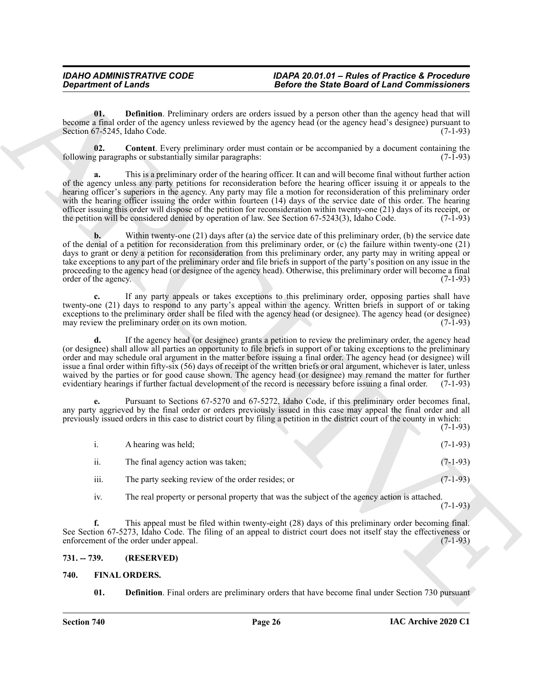<span id="page-25-5"></span><span id="page-25-4"></span>

| <b>Department of Lands</b> |                                                           | <b>Before the State Board of Land Commissioners</b>                                                                                                                                                                                                                                                                                                                                                                                                                                                                                                                                                                                                                                                                       |            |
|----------------------------|-----------------------------------------------------------|---------------------------------------------------------------------------------------------------------------------------------------------------------------------------------------------------------------------------------------------------------------------------------------------------------------------------------------------------------------------------------------------------------------------------------------------------------------------------------------------------------------------------------------------------------------------------------------------------------------------------------------------------------------------------------------------------------------------------|------------|
| 01.                        | Section 67-5245, Idaho Code.                              | Definition. Preliminary orders are orders issued by a person other than the agency head that will<br>become a final order of the agency unless reviewed by the agency head (or the agency head's designee) pursuant to                                                                                                                                                                                                                                                                                                                                                                                                                                                                                                    | $(7-1-93)$ |
| 02.                        | following paragraphs or substantially similar paragraphs: | <b>Content.</b> Every preliminary order must contain or be accompanied by a document containing the                                                                                                                                                                                                                                                                                                                                                                                                                                                                                                                                                                                                                       | $(7-1-93)$ |
| a.                         |                                                           | This is a preliminary order of the hearing officer. It can and will become final without further action<br>of the agency unless any party petitions for reconsideration before the hearing officer issuing it or appeals to the<br>hearing officer's superiors in the agency. Any party may file a motion for reconsideration of this preliminary order<br>with the hearing officer issuing the order within fourteen (14) days of the service date of this order. The hearing<br>officer issuing this order will dispose of the petition for reconsideration within twenty-one (21) days of its receipt, or<br>the petition will be considered denied by operation of law. See Section 67-5243(3), Idaho Code.           | $(7-1-93)$ |
| b.<br>order of the agency. |                                                           | Within twenty-one (21) days after (a) the service date of this preliminary order, (b) the service date<br>of the denial of a petition for reconsideration from this preliminary order, or (c) the failure within twenty-one (21)<br>days to grant or deny a petition for reconsideration from this preliminary order, any party may in writing appeal or<br>take exceptions to any part of the preliminary order and file briefs in support of the party's position on any issue in the<br>proceeding to the agency head (or designee of the agency head). Otherwise, this preliminary order will become a final                                                                                                          | $(7-1-93)$ |
| c.                         | may review the preliminary order on its own motion.       | If any party appeals or takes exceptions to this preliminary order, opposing parties shall have<br>twenty-one (21) days to respond to any party's appeal within the agency. Written briefs in support of or taking<br>exceptions to the preliminary order shall be filed with the agency head (or designee). The agency head (or designee)                                                                                                                                                                                                                                                                                                                                                                                | $(7-1-93)$ |
| d.                         |                                                           | If the agency head (or designee) grants a petition to review the preliminary order, the agency head<br>(or designee) shall allow all parties an opportunity to file briefs in support of or taking exceptions to the preliminary<br>order and may schedule oral argument in the matter before issuing a final order. The agency head (or designee) will<br>issue a final order within fifty-six (56) days of receipt of the written briefs or oral argument, whichever is later, unless<br>waived by the parties or for good cause shown. The agency head (or designee) may remand the matter for further<br>evidentiary hearings if further factual development of the record is necessary before issuing a final order. | $(7-1-93)$ |
|                            |                                                           | Pursuant to Sections 67-5270 and 67-5272, Idaho Code, if this preliminary order becomes final,<br>any party aggrieved by the final order or orders previously issued in this case may appeal the final order and all<br>previously issued orders in this case to district court by filing a petition in the district court of the county in which:                                                                                                                                                                                                                                                                                                                                                                        | $(7-1-93)$ |
| i.                         | A hearing was held;                                       |                                                                                                                                                                                                                                                                                                                                                                                                                                                                                                                                                                                                                                                                                                                           | $(7-1-93)$ |
| 11.                        | The final agency action was taken;                        |                                                                                                                                                                                                                                                                                                                                                                                                                                                                                                                                                                                                                                                                                                                           | $(7-1-93)$ |
| iii.                       | The party seeking review of the order resides; or         |                                                                                                                                                                                                                                                                                                                                                                                                                                                                                                                                                                                                                                                                                                                           | $(7-1-93)$ |
| iv.                        |                                                           | The real property or personal property that was the subject of the agency action is attached.                                                                                                                                                                                                                                                                                                                                                                                                                                                                                                                                                                                                                             | $(7-1-93)$ |
| f.                         | enforcement of the order under appeal.                    | This appeal must be filed within twenty-eight (28) days of this preliminary order becoming final.<br>See Section 67-5273, Idaho Code. The filing of an appeal to district court does not itself stay the effectiveness or                                                                                                                                                                                                                                                                                                                                                                                                                                                                                                 | $(7-1-93)$ |
| $731. - 739.$              | (RESERVED)                                                |                                                                                                                                                                                                                                                                                                                                                                                                                                                                                                                                                                                                                                                                                                                           |            |
| 740.                       | <b>FINAL ORDERS.</b>                                      |                                                                                                                                                                                                                                                                                                                                                                                                                                                                                                                                                                                                                                                                                                                           |            |
|                            |                                                           | <b>Definition</b> . Final orders are preliminary orders that have become final under Section 730 pursuant                                                                                                                                                                                                                                                                                                                                                                                                                                                                                                                                                                                                                 |            |

# <span id="page-25-0"></span>**731. -- 739. (RESERVED)**

# <span id="page-25-3"></span><span id="page-25-2"></span><span id="page-25-1"></span>**740. FINAL ORDERS.**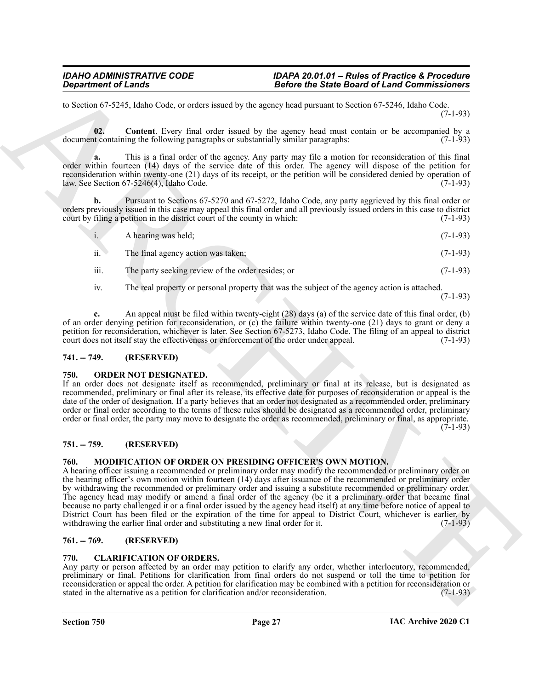to Section 67-5245, Idaho Code, or orders issued by the agency head pursuant to Section 67-5246, Idaho Code. (7-1-93)

<span id="page-26-7"></span>**02. Content**. Every final order issued by the agency head must contain or be accompanied by a at containing the following paragraphs or substantially similar paragraphs: (7-1-93) document containing the following paragraphs or substantially similar paragraphs:

**a.** This is a final order of the agency. Any party may file a motion for reconsideration of this final order within fourteen (14) days of the service date of this order. The agency will dispose of the petition for reconsideration within twenty-one (21) days of its receipt, or the petition will be considered denied by operation of law. See Section 67-5246(4), Idaho Code. (7-1-93)

**b.** Pursuant to Sections 67-5270 and 67-5272, Idaho Code, any party aggrieved by this final order or orders previously issued in this case may appeal this final order and all previously issued orders in this case to district court by filing a petition in the district court of the county in which: (7-1-93)

| $\mathbf{i}$ . | A hearing was held;                | $(7-1-93)$ |
|----------------|------------------------------------|------------|
| ii.            | The final agency action was taken; | $(7-1-93)$ |

- iii. The party seeking review of the order resides; or  $(7-1-93)$
- iv. The real property or personal property that was the subject of the agency action is attached.

(7-1-93)

**c.** An appeal must be filed within twenty-eight (28) days (a) of the service date of this final order, (b) of an order denying petition for reconsideration, or (c) the failure within twenty-one (21) days to grant or deny a petition for reconsideration, whichever is later. See Section 67-5273, Idaho Code. The filing of an appeal to district court does not itself stay the effectiveness or enforcement of the order under appeal. (7-1-93)

# <span id="page-26-0"></span>**741. -- 749. (RESERVED)**

# <span id="page-26-9"></span><span id="page-26-1"></span>**750. ORDER NOT DESIGNATED.**

If an order does not designate itself as recommended, preliminary or final at its release, but is designated as recommended, preliminary or final after its release, its effective date for purposes of reconsideration or appeal is the date of the order of designation. If a party believes that an order not designated as a recommended order, preliminary order or final order according to the terms of these rules should be designated as a recommended order, preliminary order or final order, the party may move to designate the order as recommended, preliminary or final, as appropriate. (7-1-93)

# <span id="page-26-2"></span>**751. -- 759. (RESERVED)**

# <span id="page-26-8"></span><span id="page-26-3"></span>**760. MODIFICATION OF ORDER ON PRESIDING OFFICER'S OWN MOTION.**

**Experiment of Lensis<br>
To Society the Control of the Euler Commissioners and the Euler Commissioners and the Euler Commissioners are not the Commissioners and the Control of the Commissioners are not the Commissioners and** A hearing officer issuing a recommended or preliminary order may modify the recommended or preliminary order on the hearing officer's own motion within fourteen (14) days after issuance of the recommended or preliminary order by withdrawing the recommended or preliminary order and issuing a substitute recommended or preliminary order. The agency head may modify or amend a final order of the agency (be it a preliminary order that became final because no party challenged it or a final order issued by the agency head itself) at any time before notice of appeal to District Court has been filed or the expiration of the time for appeal to District Court, whichever is earlier, by withdrawing the earlier final order and substituting a new final order for it. (7-1-93)

# <span id="page-26-4"></span>**761. -- 769. (RESERVED)**

# <span id="page-26-6"></span><span id="page-26-5"></span>**770. CLARIFICATION OF ORDERS.**

Any party or person affected by an order may petition to clarify any order, whether interlocutory, recommended, preliminary or final. Petitions for clarification from final orders do not suspend or toll the time to petition for reconsideration or appeal the order. A petition for clarification may be combined with a petition for reconsideration or stated in the alternative as a petition for clarification and/or reconsideration. (7-1-93)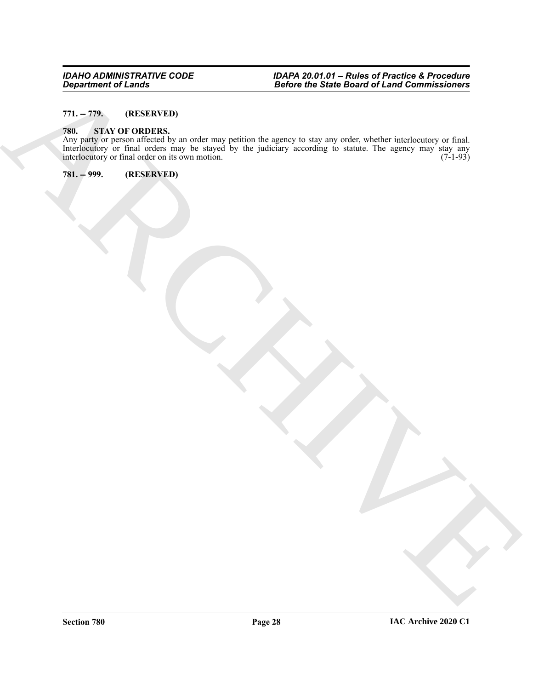# <span id="page-27-0"></span>**771. -- 779. (RESERVED)**

#### <span id="page-27-3"></span><span id="page-27-1"></span>**780. STAY OF ORDERS.**

Beginstein of Linds.<br>
The Start Of Decks.<br>
The Start Of Decks.<br>
The Start Of Decks.<br>
The Start Of Decks.<br>
The Start Of Decks.<br>
The Start Of Decks.<br>
The Start Of Decks.<br>
The Start Of Decks.<br>
The Start Of Decks.<br>
The Start O Any party or person affected by an order may petition the agency to stay any order, whether interlocutory or final. Interlocutory or final orders may be stayed by the judiciary according to statute. The agency may stay any interlocutory or final order on its own motion. (7-1-93) interlocutory or final order on its own motion.

<span id="page-27-2"></span>**781. -- 999. (RESERVED)**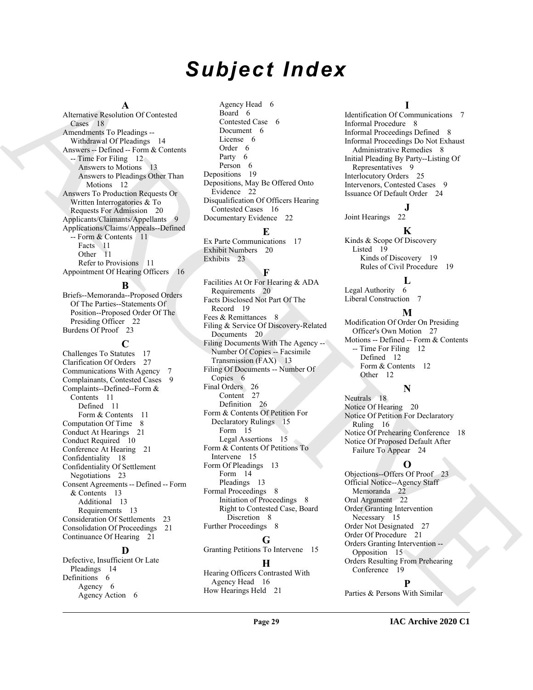# *Subject Index*

#### **A**

Alternative Resolution Of Contested Cases 18 Amendments To Pleadings -- Withdrawal Of Pleadings 14 Answers -- Defined -- Form & Contents -- Time For Filing 12 Answers to Motions 13 Answers to Pleadings Other Than Motions 12 Answers To Production Requests Or Written Interrogatories & To Requests For Admission 20 Applicants/Claimants/Appellants 9 Applications/Claims/Appeals--Defined -- Form & Contents 11 Facts 11 Other 11 Refer to Provisions 11 Appointment Of Hearing Officers 16

**B**

Briefs--Memoranda--Proposed Orders Of The Parties--Statements Of Position--Proposed Order Of The Presiding Officer 22 Burdens Of Proof 23

**C** Challenges To Statutes 17 Clarification Of Orders 27 Communications With Agency 7 Complainants, Contested Cases 9 Complaints--Defined--Form & Contents 11 Defined 11 Form & Contents 11 Computation Of Time 8 Conduct At Hearings 21 Conduct Required 10 Conference At Hearing 21 Confidentiality 18 Confidentiality Of Settlement Negotiations 23 Consent Agreements -- Defined -- Form & Contents 13 Additional 13 Requirements 13 Consideration Of Settlements 23 Consolidation Of Proceedings 21 Continuance Of Hearing 21

### **D**

Defective, Insufficient Or Late Pleadings 14 Definitions 6 Agency 6 Agency Action 6

Agency Head 6 Board 6 Contested Case 6 Document 6 License 6 Order 6 Party 6 Person 6 Depositions 19 Depositions, May Be Offered Onto Evidence 22 Disqualification Of Officers Hearing Contested Cases 16 Documentary Evidence 22

#### **E**

Ex Parte Communications 17 Exhibit Numbers 20 Exhibits 23

#### **F**

Alternative Marcus (F. 1990)<br>
Alternative Commute Cost of the main control of the main control of the main control of the main control of the main control of the main control of the main control of the main control of the Facilities At Or For Hearing & ADA Requirements 20 Facts Disclosed Not Part Of The Record 19 Fees & Remittances 8 Filing & Service Of Discovery-Related Documents 20 Filing Documents With The Agency -- Number Of Copies -- Facsimile Transmission (FAX) 13 Filing Of Documents -- Number Of Copies 6 Final Orders 26 Content 27 Definition 26 Form & Contents Of Petition For Declaratory Rulings 15 Form 15 Legal Assertions 15 Form & Contents Of Petitions To Intervene 15 Form Of Pleadings 13 Form 14 Pleadings 13 Formal Proceedings 8 Initiation of Proceedings 8 Right to Contested Case, Board Discretion 8 Further Proceedings 8

# **G**

Granting Petitions To Intervene 15 **H**

#### Hearing Officers Contrasted With Agency Head 16 How Hearings Held 21

#### **I**

Identification Of Communications 7 Informal Procedure 8 Informal Proceedings Defined 8 Informal Proceedings Do Not Exhaust Administrative Remedies 8 Initial Pleading By Party--Listing Of Representatives 9 Interlocutory Orders 25 Intervenors, Contested Cases 9 Issuance Of Default Order 24

# **J**

Joint Hearings 22

#### **K**

Kinds & Scope Of Discovery Listed 19 Kinds of Discovery 19 Rules of Civil Procedure 19

#### **L**

Legal Authority 6 Liberal Construction 7

#### **M**

Modification Of Order On Presiding Officer's Own Motion 27 Motions -- Defined -- Form & Contents -- Time For Filing 12 Defined 12 Form & Contents 12 Other 12

# **N**

Neutrals 18 Notice Of Hearing 20 Notice Of Petition For Declaratory Ruling 16 Notice Of Prehearing Conference 18 Notice Of Proposed Default After Failure To Appear 24

# **O**

Objections--Offers Of Proof 23 Official Notice--Agency Staff Memoranda 22 Oral Argument 22 Order Granting Intervention Necessary 15 Order Not Designated 27 Order Of Procedure 21 Orders Granting Intervention -- Opposition 15 Orders Resulting From Prehearing Conference 19

# **P**

Parties & Persons With Similar